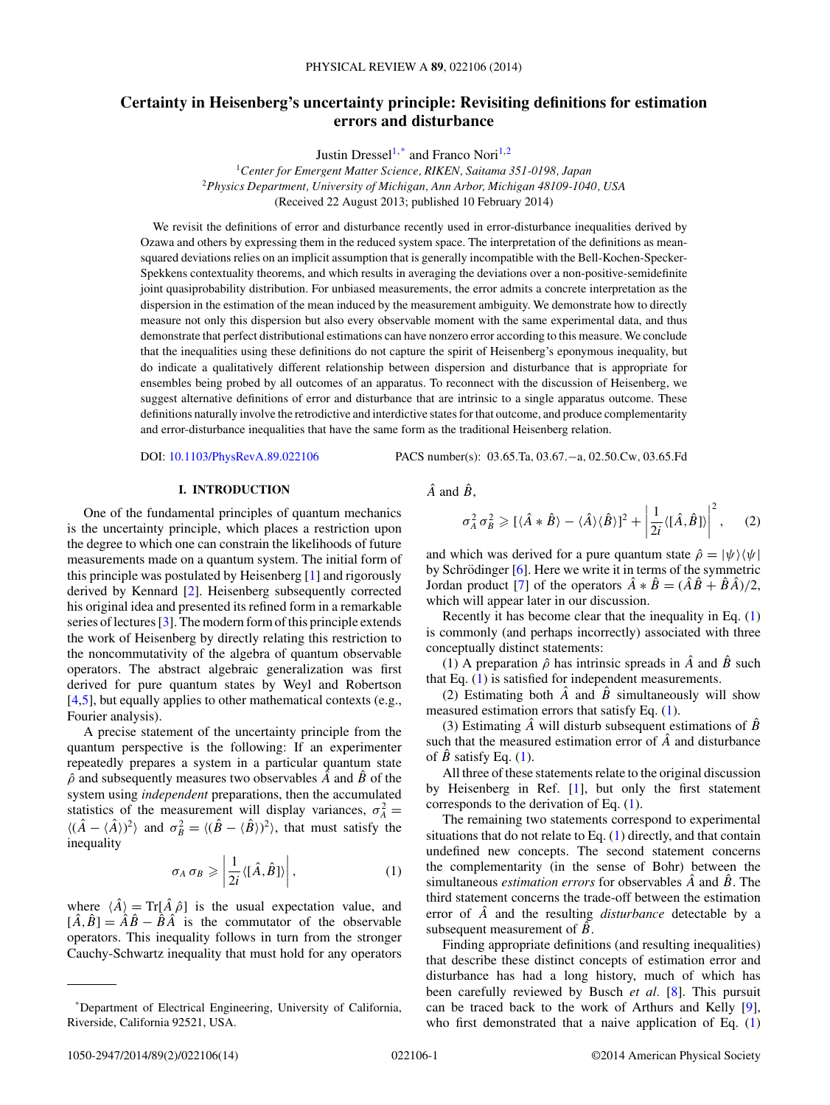# <span id="page-0-0"></span>**Certainty in Heisenberg's uncertainty principle: Revisiting definitions for estimation errors and disturbance**

Justin Dressel<sup>1,\*</sup> and Franco Nori<sup>1,2</sup>

<sup>1</sup>*Center for Emergent Matter Science, RIKEN, Saitama 351-0198, Japan* <sup>2</sup>*Physics Department, University of Michigan, Ann Arbor, Michigan 48109-1040, USA* (Received 22 August 2013; published 10 February 2014)

We revisit the definitions of error and disturbance recently used in error-disturbance inequalities derived by Ozawa and others by expressing them in the reduced system space. The interpretation of the definitions as meansquared deviations relies on an implicit assumption that is generally incompatible with the Bell-Kochen-Specker-Spekkens contextuality theorems, and which results in averaging the deviations over a non-positive-semidefinite joint quasiprobability distribution. For unbiased measurements, the error admits a concrete interpretation as the dispersion in the estimation of the mean induced by the measurement ambiguity. We demonstrate how to directly measure not only this dispersion but also every observable moment with the same experimental data, and thus demonstrate that perfect distributional estimations can have nonzero error according to this measure. We conclude that the inequalities using these definitions do not capture the spirit of Heisenberg's eponymous inequality, but do indicate a qualitatively different relationship between dispersion and disturbance that is appropriate for ensembles being probed by all outcomes of an apparatus. To reconnect with the discussion of Heisenberg, we suggest alternative definitions of error and disturbance that are intrinsic to a single apparatus outcome. These definitions naturally involve the retrodictive and interdictive states for that outcome, and produce complementarity and error-disturbance inequalities that have the same form as the traditional Heisenberg relation.

DOI: [10.1103/PhysRevA.89.022106](http://dx.doi.org/10.1103/PhysRevA.89.022106) PACS number(s): 03*.*65*.*Ta*,* 03*.*67*.*−a*,* 02*.*50*.*Cw*,* 03*.*65*.*Fd

## **I. INTRODUCTION**

One of the fundamental principles of quantum mechanics is the uncertainty principle, which places a restriction upon the degree to which one can constrain the likelihoods of future measurements made on a quantum system. The initial form of this principle was postulated by Heisenberg [\[1\]](#page-11-0) and rigorously derived by Kennard [\[2\]](#page-11-0). Heisenberg subsequently corrected his original idea and presented its refined form in a remarkable series of lectures [\[3\]](#page-11-0). The modern form of this principle extends the work of Heisenberg by directly relating this restriction to the noncommutativity of the algebra of quantum observable operators. The abstract algebraic generalization was first derived for pure quantum states by Weyl and Robertson [\[4,5\]](#page-11-0), but equally applies to other mathematical contexts (e.g., Fourier analysis).

A precise statement of the uncertainty principle from the quantum perspective is the following: If an experimenter repeatedly prepares a system in a particular quantum state *ρ*ˆ and subsequently measures two observables *A*ˆ and *B*ˆ of the system using *independent* preparations, then the accumulated statistics of the measurement will display variances,  $\sigma_A^2$  =  $\langle (\hat{A} - \langle \hat{A} \rangle)^2 \rangle$  and  $\sigma_B^2 = \langle (\hat{B} - \langle \hat{B} \rangle)^2 \rangle$ , that must satisfy the inequality

$$
\sigma_A \,\sigma_B \geqslant \left| \frac{1}{2i} \langle [\hat{A}, \hat{B}] \rangle \right|, \tag{1}
$$

where  $\langle \hat{A} \rangle = \text{Tr}[\hat{A} \hat{\rho}]$  is the usual expectation value, and  $[\hat{A}, \hat{B}] = \hat{A}\hat{B} - \hat{B}\hat{A}$  is the commutator of the observable operators. This inequality follows in turn from the stronger Cauchy-Schwartz inequality that must hold for any operators

$$
\hat{A} \text{ and } \hat{B},
$$

$$
\sigma_A^2 \sigma_B^2 \geqslant [\langle \hat{A} * \hat{B} \rangle - \langle \hat{A} \rangle \langle \hat{B} \rangle]^2 + \left| \frac{1}{2i} \langle [\hat{A}, \hat{B}] \rangle \right|^2, \quad (2)
$$

and which was derived for a pure quantum state  $\hat{\rho} = |\psi\rangle \langle \psi|$ by Schrödinger  $[6]$  $[6]$ . Here we write it in terms of the symmetric Jordan product [\[7\]](#page-11-0) of the operators  $\hat{A} * \hat{B} = (\hat{A}\hat{B} + \hat{B}\hat{A})/2$ , which will appear later in our discussion.

Recently it has become clear that the inequality in Eq. (1) is commonly (and perhaps incorrectly) associated with three conceptually distinct statements:

(1) A preparation  $\hat{\rho}$  has intrinsic spreads in  $\hat{A}$  and  $\hat{B}$  such that Eq. (1) is satisfied for independent measurements.

(2) Estimating both  $\hat{A}$  and  $\hat{B}$  simultaneously will show measured estimation errors that satisfy Eq. (1).

(3) Estimating  $\hat{A}$  will disturb subsequent estimations of  $\hat{B}$ such that the measured estimation error of *A*ˆ and disturbance of  $\hat{B}$  satisfy Eq. (1).

All three of these statements relate to the original discussion by Heisenberg in Ref. [\[1\]](#page-11-0), but only the first statement corresponds to the derivation of Eq. (1).

The remaining two statements correspond to experimental situations that do not relate to Eq.  $(1)$  directly, and that contain undefined new concepts. The second statement concerns the complementarity (in the sense of Bohr) between the simultaneous *estimation errors* for observables *A*ˆ and *B*ˆ. The third statement concerns the trade-off between the estimation error of *A*ˆ and the resulting *disturbance* detectable by a subsequent measurement of  $\hat{B}$ .

Finding appropriate definitions (and resulting inequalities) that describe these distinct concepts of estimation error and disturbance has had a long history, much of which has been carefully reviewed by Busch *et al.* [\[8\]](#page-11-0). This pursuit can be traced back to the work of Arthurs and Kelly [\[9\]](#page-11-0), who first demonstrated that a naive application of Eq. (1)

<sup>\*</sup>Department of Electrical Engineering, University of California, Riverside, California 92521, USA.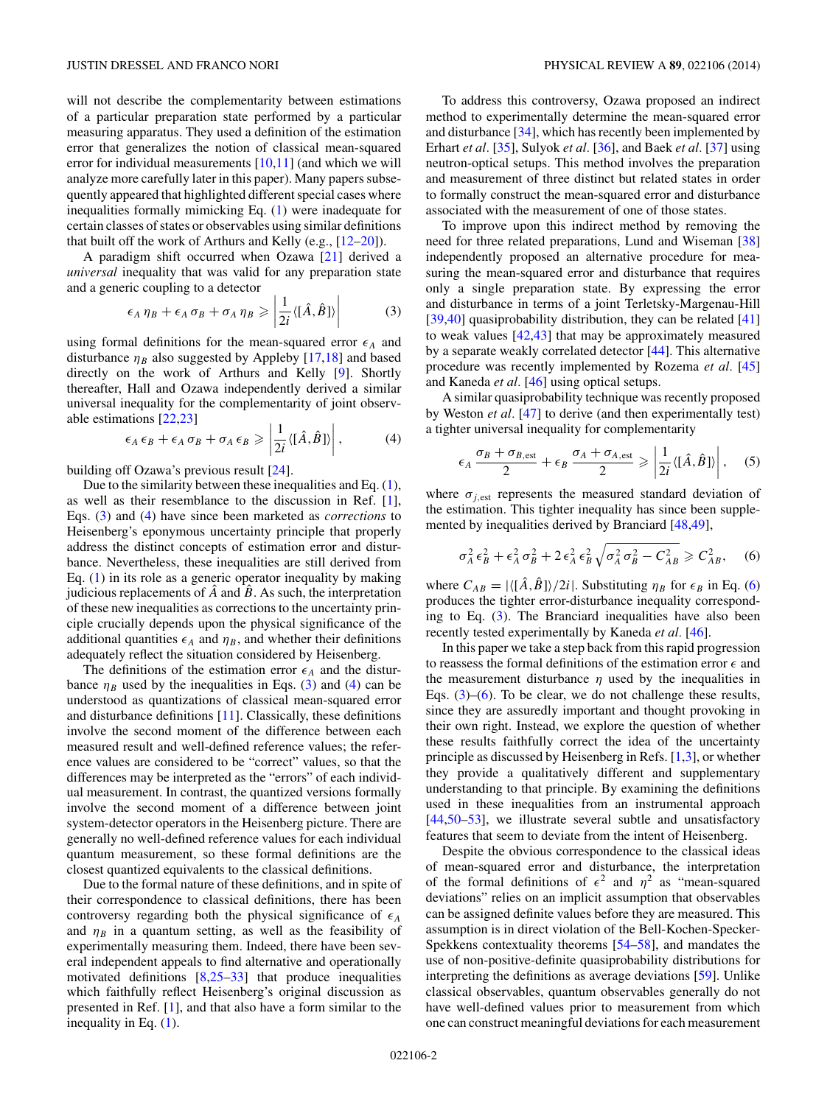<span id="page-1-0"></span>will not describe the complementarity between estimations of a particular preparation state performed by a particular measuring apparatus. They used a definition of the estimation error that generalizes the notion of classical mean-squared error for individual measurements  $[10,11]$  $[10,11]$  (and which we will analyze more carefully later in this paper). Many papers subsequently appeared that highlighted different special cases where inequalities formally mimicking Eq. [\(1\)](#page-0-0) were inadequate for certain classes of states or observables using similar definitions that built off the work of Arthurs and Kelly (e.g., [\[12–20\]](#page-12-0)).

A paradigm shift occurred when Ozawa [\[21\]](#page-12-0) derived a *universal* inequality that was valid for any preparation state and a generic coupling to a detector

$$
\epsilon_A \eta_B + \epsilon_A \sigma_B + \sigma_A \eta_B \geq \left| \frac{1}{2i} \langle [\hat{A}, \hat{B}] \rangle \right| \tag{3}
$$

using formal definitions for the mean-squared error  $\epsilon_A$  and disturbance  $\eta_B$  also suggested by Appleby [\[17,18\]](#page-12-0) and based directly on the work of Arthurs and Kelly [\[9\]](#page-11-0). Shortly thereafter, Hall and Ozawa independently derived a similar universal inequality for the complementarity of joint observable estimations [\[22,23\]](#page-12-0)

$$
\epsilon_A \epsilon_B + \epsilon_A \sigma_B + \sigma_A \epsilon_B \ge \left| \frac{1}{2i} \langle [\hat{A}, \hat{B}] \rangle \right|, \tag{4}
$$

building off Ozawa's previous result [\[24\]](#page-12-0).

Due to the similarity between these inequalities and Eq. [\(1\)](#page-0-0), as well as their resemblance to the discussion in Ref. [\[1\]](#page-11-0), Eqs. (3) and (4) have since been marketed as *corrections* to Heisenberg's eponymous uncertainty principle that properly address the distinct concepts of estimation error and disturbance. Nevertheless, these inequalities are still derived from Eq.  $(1)$  in its role as a generic operator inequality by making judicious replacements of  $\ddot{A}$  and  $\ddot{B}$ . As such, the interpretation of these new inequalities as corrections to the uncertainty principle crucially depends upon the physical significance of the additional quantities  $\epsilon_A$  and  $\eta_B$ , and whether their definitions adequately reflect the situation considered by Heisenberg.

The definitions of the estimation error  $\epsilon_A$  and the disturbance  $\eta_B$  used by the inequalities in Eqs. (3) and (4) can be understood as quantizations of classical mean-squared error and disturbance definitions [\[11\]](#page-12-0). Classically, these definitions involve the second moment of the difference between each measured result and well-defined reference values; the reference values are considered to be "correct" values, so that the differences may be interpreted as the "errors" of each individual measurement. In contrast, the quantized versions formally involve the second moment of a difference between joint system-detector operators in the Heisenberg picture. There are generally no well-defined reference values for each individual quantum measurement, so these formal definitions are the closest quantized equivalents to the classical definitions.

Due to the formal nature of these definitions, and in spite of their correspondence to classical definitions, there has been controversy regarding both the physical significance of  $\epsilon_A$ and  $\eta_B$  in a quantum setting, as well as the feasibility of experimentally measuring them. Indeed, there have been several independent appeals to find alternative and operationally motivated definitions [\[8](#page-11-0)[,25–33\]](#page-12-0) that produce inequalities which faithfully reflect Heisenberg's original discussion as presented in Ref. [\[1\]](#page-11-0), and that also have a form similar to the inequality in Eq. [\(1\)](#page-0-0).

To address this controversy, Ozawa proposed an indirect method to experimentally determine the mean-squared error and disturbance [\[34\]](#page-12-0), which has recently been implemented by Erhart *et al.* [\[35\]](#page-12-0), Sulyok *et al.* [\[36\]](#page-12-0), and Baek *et al.* [\[37\]](#page-12-0) using neutron-optical setups. This method involves the preparation and measurement of three distinct but related states in order to formally construct the mean-squared error and disturbance associated with the measurement of one of those states.

To improve upon this indirect method by removing the need for three related preparations, Lund and Wiseman [\[38\]](#page-12-0) independently proposed an alternative procedure for measuring the mean-squared error and disturbance that requires only a single preparation state. By expressing the error and disturbance in terms of a joint Terletsky-Margenau-Hill [\[39,40\]](#page-12-0) quasiprobability distribution, they can be related [\[41\]](#page-12-0) to weak values [\[42,43\]](#page-12-0) that may be approximately measured by a separate weakly correlated detector [\[44\]](#page-12-0). This alternative procedure was recently implemented by Rozema *et al.* [\[45\]](#page-12-0) and Kaneda *et al.* [\[46\]](#page-12-0) using optical setups.

A similar quasiprobability technique was recently proposed by Weston *et al.* [\[47\]](#page-12-0) to derive (and then experimentally test) a tighter universal inequality for complementarity

$$
\epsilon_A \frac{\sigma_B + \sigma_{B,\text{est}}}{2} + \epsilon_B \frac{\sigma_A + \sigma_{A,\text{est}}}{2} \geqslant \left| \frac{1}{2i} \langle [\hat{A}, \hat{B}] \rangle \right|, \quad (5)
$$

where  $\sigma_{i,est}$  represents the measured standard deviation of the estimation. This tighter inequality has since been supplemented by inequalities derived by Branciard [\[48,49\]](#page-12-0),

$$
\sigma_A^2 \epsilon_B^2 + \epsilon_A^2 \sigma_B^2 + 2 \epsilon_A^2 \epsilon_B^2 \sqrt{\sigma_A^2 \sigma_B^2 - C_{AB}^2} \geq C_{AB}^2, \quad (6)
$$

where  $C_{AB} = |\langle [\hat{A}, \hat{B}] \rangle / 2i|$ . Substituting  $\eta_B$  for  $\epsilon_B$  in Eq. (6) produces the tighter error-disturbance inequality corresponding to Eq. (3). The Branciard inequalities have also been recently tested experimentally by Kaneda *et al.* [\[46\]](#page-12-0).

In this paper we take a step back from this rapid progression to reassess the formal definitions of the estimation error  $\epsilon$  and the measurement disturbance  $\eta$  used by the inequalities in Eqs.  $(3)$ – $(6)$ . To be clear, we do not challenge these results, since they are assuredly important and thought provoking in their own right. Instead, we explore the question of whether these results faithfully correct the idea of the uncertainty principle as discussed by Heisenberg in Refs. [\[1,3\]](#page-11-0), or whether they provide a qualitatively different and supplementary understanding to that principle. By examining the definitions used in these inequalities from an instrumental approach [\[44,50–53\]](#page-12-0), we illustrate several subtle and unsatisfactory features that seem to deviate from the intent of Heisenberg.

Despite the obvious correspondence to the classical ideas of mean-squared error and disturbance, the interpretation of the formal definitions of  $\epsilon^2$  and  $\eta^2$  as "mean-squared deviations" relies on an implicit assumption that observables can be assigned definite values before they are measured. This assumption is in direct violation of the Bell-Kochen-Specker-Spekkens contextuality theorems [\[54–58\]](#page-12-0), and mandates the use of non-positive-definite quasiprobability distributions for interpreting the definitions as average deviations [\[59\]](#page-12-0). Unlike classical observables, quantum observables generally do not have well-defined values prior to measurement from which one can construct meaningful deviations for each measurement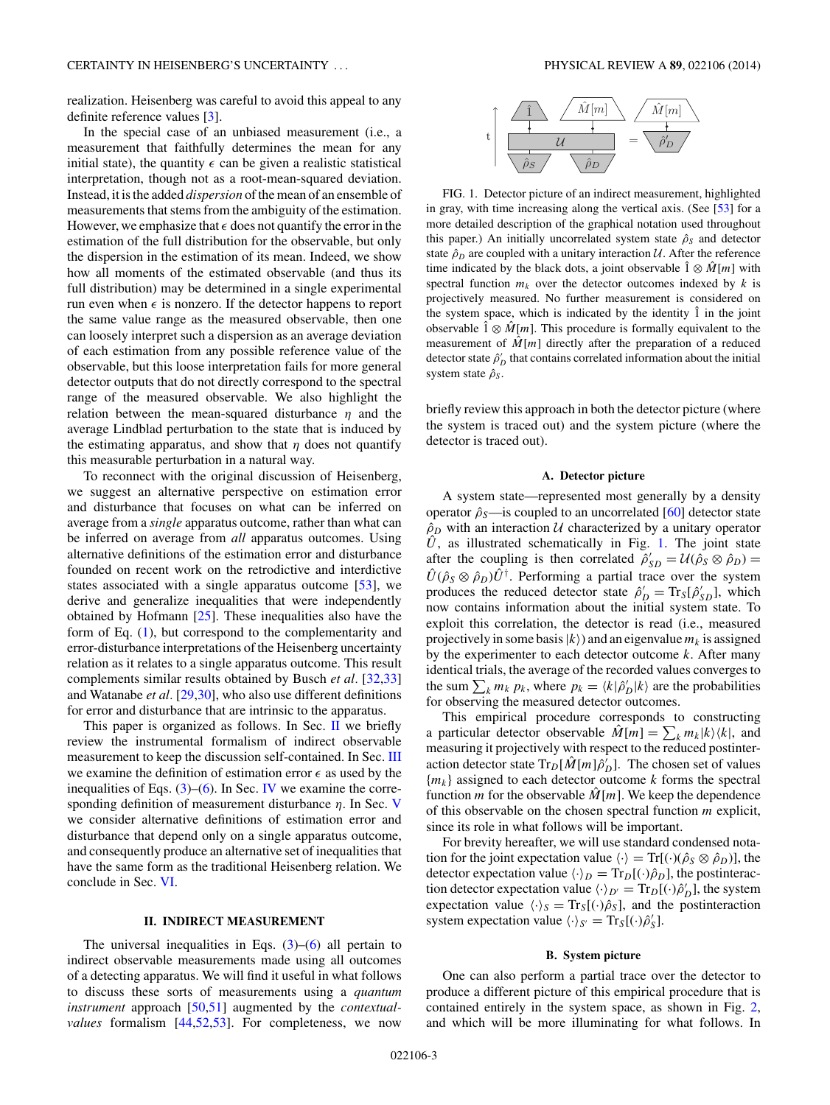<span id="page-2-0"></span>realization. Heisenberg was careful to avoid this appeal to any definite reference values [\[3\]](#page-11-0).

In the special case of an unbiased measurement (i.e., a measurement that faithfully determines the mean for any initial state), the quantity  $\epsilon$  can be given a realistic statistical interpretation, though not as a root-mean-squared deviation. Instead, it is the added *dispersion* of the mean of an ensemble of measurements that stems from the ambiguity of the estimation. However, we emphasize that  $\epsilon$  does not quantify the error in the estimation of the full distribution for the observable, but only the dispersion in the estimation of its mean. Indeed, we show how all moments of the estimated observable (and thus its full distribution) may be determined in a single experimental run even when  $\epsilon$  is nonzero. If the detector happens to report the same value range as the measured observable, then one can loosely interpret such a dispersion as an average deviation of each estimation from any possible reference value of the observable, but this loose interpretation fails for more general detector outputs that do not directly correspond to the spectral range of the measured observable. We also highlight the relation between the mean-squared disturbance *η* and the average Lindblad perturbation to the state that is induced by the estimating apparatus, and show that  $\eta$  does not quantify this measurable perturbation in a natural way.

To reconnect with the original discussion of Heisenberg, we suggest an alternative perspective on estimation error and disturbance that focuses on what can be inferred on average from a *single* apparatus outcome, rather than what can be inferred on average from *all* apparatus outcomes. Using alternative definitions of the estimation error and disturbance founded on recent work on the retrodictive and interdictive states associated with a single apparatus outcome [\[53\]](#page-12-0), we derive and generalize inequalities that were independently obtained by Hofmann [\[25\]](#page-12-0). These inequalities also have the form of Eq. [\(1\)](#page-0-0), but correspond to the complementarity and error-disturbance interpretations of the Heisenberg uncertainty relation as it relates to a single apparatus outcome. This result complements similar results obtained by Busch *et al.* [\[32,33\]](#page-12-0) and Watanabe *et al.* [\[29,30\]](#page-12-0), who also use different definitions for error and disturbance that are intrinsic to the apparatus.

This paper is organized as follows. In Sec. II we briefly review the instrumental formalism of indirect observable measurement to keep the discussion self-contained. In Sec. [III](#page-3-0) we examine the definition of estimation error  $\epsilon$  as used by the inequalities of Eqs.  $(3)$ – $(6)$ . In Sec. [IV](#page-6-0) we examine the corresponding definition of measurement disturbance *η*. In Sec. [V](#page-8-0) we consider alternative definitions of estimation error and disturbance that depend only on a single apparatus outcome, and consequently produce an alternative set of inequalities that have the same form as the traditional Heisenberg relation. We conclude in Sec. [VI.](#page-11-0)

## **II. INDIRECT MEASUREMENT**

The universal inequalities in Eqs.  $(3)$ – $(6)$  all pertain to indirect observable measurements made using all outcomes of a detecting apparatus. We will find it useful in what follows to discuss these sorts of measurements using a *quantum instrument* approach [\[50,51\]](#page-12-0) augmented by the *contextualvalues* formalism [\[44,52,53\]](#page-12-0). For completeness, we now



FIG. 1. Detector picture of an indirect measurement, highlighted in gray, with time increasing along the vertical axis. (See [\[53\]](#page-12-0) for a more detailed description of the graphical notation used throughout this paper.) An initially uncorrelated system state  $\hat{\rho}_s$  and detector state  $\hat{\rho}_D$  are coupled with a unitary interaction U. After the reference time indicated by the black dots, a joint observable  $\hat{1} \otimes \hat{M}[m]$  with spectral function  $m_k$  over the detector outcomes indexed by  $k$  is projectively measured. No further measurement is considered on the system space, which is indicated by the identity  $\hat{1}$  in the joint observable  $\hat{1} \otimes \hat{M}[m]$ . This procedure is formally equivalent to the measurement of  $\hat{M}[m]$  directly after the preparation of a reduced detector state  $\hat{\rho}_D'$  that contains correlated information about the initial system state  $ρ<sub>S</sub>$ .

briefly review this approach in both the detector picture (where the system is traced out) and the system picture (where the detector is traced out).

## **A. Detector picture**

A system state—represented most generally by a density operator  $\hat{\rho}_s$ —is coupled to an uncorrelated [\[60\]](#page-12-0) detector state  $\rho_D$  with an interaction U characterized by a unitary operator  $\hat{U}$ , as illustrated schematically in Fig. 1. The joint state after the coupling is then correlated  $\hat{\rho}_{SD}^{\prime} = \mathcal{U}(\hat{\rho}_S \otimes \hat{\rho}_D)$  =  $\hat{U}(\hat{\rho}_s \otimes \hat{\rho}_D) \hat{U}^{\dagger}$ . Performing a partial trace over the system produces the reduced detector state  $\hat{\rho}_D' = \text{Tr}_S[\hat{\rho}_{SD}']$ , which now contains information about the initial system state. To exploit this correlation, the detector is read (i.e., measured projectively in some basis  $|k\rangle$ ) and an eigenvalue  $m_k$  is assigned by the experimenter to each detector outcome *k*. After many identical trials, the average of the recorded values converges to the sum  $\sum_{k} m_{k} p_{k}$ , where  $p_{k} = \langle k | \hat{\rho}'_{D} | k \rangle$  are the probabilities for observing the measured detector outcomes.

This empirical procedure corresponds to constructing a particular detector observable  $\hat{M}[m] = \sum_{k} m_{k} |k\rangle\langle k|$ , and measuring it projectively with respect to the reduced postinteraction detector state  $\text{Tr}_D[\hat{M}[m]\hat{\rho}_D]$ . The chosen set of values {*mk*} assigned to each detector outcome *k* forms the spectral function *m* for the observable  $\hat{M}[m]$ . We keep the dependence of this observable on the chosen spectral function *m* explicit, since its role in what follows will be important.

For brevity hereafter, we will use standard condensed notation for the joint expectation value  $\langle \cdot \rangle = \text{Tr}[(\cdot)(\hat{\rho}_S \otimes \hat{\rho}_D)]$ , the detector expectation value  $\langle \cdot \rangle_D = \text{Tr}_D[(\cdot)\hat{\rho}_D]$ , the postinteraction detector expectation value  $\langle \cdot \rangle_{D'} = \text{Tr}_D[(\cdot)\hat{\rho}'_D]$ , the system expectation value  $\langle \cdot \rangle_S = \text{Tr}_S[(\cdot)\hat{\rho}_S]$ , and the postinteraction system expectation value  $\langle \cdot \rangle_{S'} = \text{Tr}_S[(\cdot)\hat{\rho}'_S]$ .

## **B. System picture**

One can also perform a partial trace over the detector to produce a different picture of this empirical procedure that is contained entirely in the system space, as shown in Fig. [2,](#page-3-0) and which will be more illuminating for what follows. In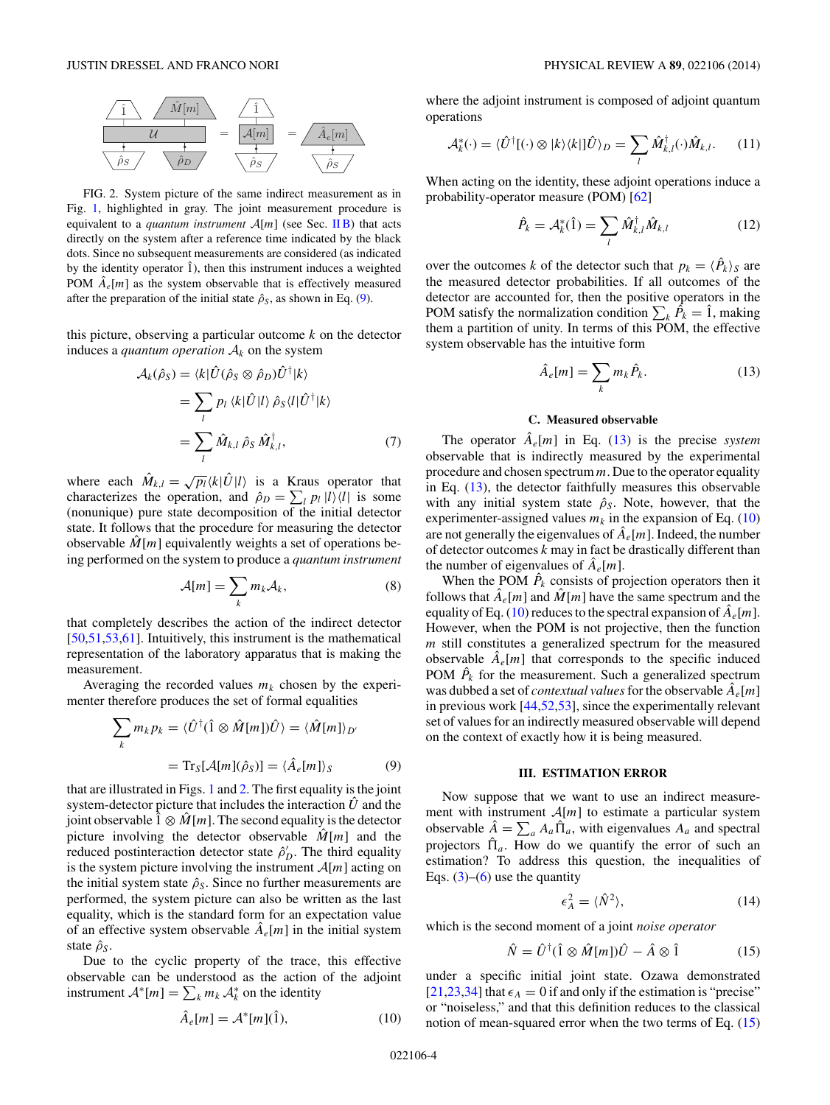<span id="page-3-0"></span>

FIG. 2. System picture of the same indirect measurement as in Fig. [1,](#page-2-0) highlighted in gray. The joint measurement procedure is equivalent to a *quantum instrument* A[*m*] (see Sec. [II B\)](#page-2-0) that acts directly on the system after a reference time indicated by the black dots. Since no subsequent measurements are considered (as indicated by the identity operator  $\hat{1}$ ), then this instrument induces a weighted POM  $\hat{A}_e[m]$  as the system observable that is effectively measured after the preparation of the initial state  $\hat{\rho}_s$ , as shown in Eq. (9).

this picture, observing a particular outcome *k* on the detector induces a *quantum operation*  $A_k$  on the system

$$
\mathcal{A}_{k}(\hat{\rho}_{S}) = \langle k|\hat{U}(\hat{\rho}_{S} \otimes \hat{\rho}_{D})\hat{U}^{\dagger}|k\rangle
$$
  
= 
$$
\sum_{l} p_{l} \langle k|\hat{U}|l\rangle \hat{\rho}_{S} \langle l|\hat{U}^{\dagger}|k\rangle
$$
  
= 
$$
\sum_{l} \hat{M}_{k,l} \hat{\rho}_{S} \hat{M}_{k,l}^{\dagger},
$$
 (7)

where each  $\hat{M}_{k,l} = \sqrt{p_l} \langle k | \hat{U} | l \rangle$  is a Kraus operator that characterizes the operation, and  $\hat{\rho}_D = \sum_l p_l |l\rangle\langle l|$  is some (nonunique) pure state decomposition of the initial detector state. It follows that the procedure for measuring the detector observable  $M[m]$  equivalently weights a set of operations being performed on the system to produce a *quantum instrument*

$$
\mathcal{A}[m] = \sum_{k} m_{k} \mathcal{A}_{k},\tag{8}
$$

that completely describes the action of the indirect detector [\[50,51,53,61\]](#page-12-0). Intuitively, this instrument is the mathematical representation of the laboratory apparatus that is making the measurement.

Averaging the recorded values  $m_k$  chosen by the experimenter therefore produces the set of formal equalities

$$
\sum_{k} m_{k} p_{k} = \langle \hat{U}^{\dagger}(\hat{1} \otimes \hat{M}[m]) \hat{U} \rangle = \langle \hat{M}[m] \rangle_{D'}
$$

$$
= \text{Tr}_{S}[\mathcal{A}[m](\hat{\rho}_{S})] = \langle \hat{A}_{e}[m] \rangle_{S} \tag{9}
$$

that are illustrated in Figs. [1](#page-2-0) and 2. The first equality is the joint system-detector picture that includes the interaction  $U$  and the joint observable  $\hat{1} \otimes \hat{M}[m]$ . The second equality is the detector picture involving the detector observable  $\hat{M}[m]$  and the reduced postinteraction detector state  $\hat{\rho}_D'$ . The third equality is the system picture involving the instrument  $A[m]$  acting on the initial system state  $\hat{\rho}_s$ . Since no further measurements are performed, the system picture can also be written as the last equality, which is the standard form for an expectation value of an effective system observable  $A_e[m]$  in the initial system state  $\hat{\rho}_s$ .

Due to the cyclic property of the trace, this effective observable can be understood as the action of the adjoint instrument  $\mathcal{A}^*[m] = \sum_k m_k \mathcal{A}_k^*$  on the identity

where the adjoint instrument is composed of adjoint quantum operations

$$
\mathcal{A}_{k}^{*}(\cdot) = \langle \hat{U}^{\dagger}[(\cdot) \otimes |k\rangle\langle k|] \hat{U}\rangle_{D} = \sum_{l} \hat{M}_{k,l}^{\dagger}(\cdot) \hat{M}_{k,l}.
$$
 (11)

When acting on the identity, these adjoint operations induce a probability-operator measure (POM) [\[62\]](#page-12-0)

$$
\hat{P}_k = \mathcal{A}_k^*(\hat{1}) = \sum_l \hat{M}_{k,l}^\dagger \hat{M}_{k,l} \tag{12}
$$

over the outcomes *k* of the detector such that  $p_k = \langle \hat{P}_k \rangle_S$  are the measured detector probabilities. If all outcomes of the detector are accounted for, then the positive operators in the POM satisfy the normalization condition  $\sum_{k} \hat{P}_k = \hat{1}$ , making them a partition of unity. In terms of this POM, the effective system observable has the intuitive form

$$
\hat{A}_{e}[m] = \sum_{k} m_{k} \hat{P}_{k}.
$$
\n(13)

## **C. Measured observable**

The operator  $A_e[m]$  in Eq. (13) is the precise *system* observable that is indirectly measured by the experimental procedure and chosen spectrum *m*. Due to the operator equality in Eq. (13), the detector faithfully measures this observable with any initial system state  $\hat{\rho}_s$ . Note, however, that the experimenter-assigned values  $m_k$  in the expansion of Eq. (10) are not generally the eigenvalues of  $\hat{A}_e[m]$ . Indeed, the number of detector outcomes *k* may in fact be drastically different than the number of eigenvalues of  $\hat{A}_e[m]$ .

When the POM  $\hat{P}_k$  consists of projection operators then it follows that  $\hat{A}_e[m]$  and  $\hat{M}[m]$  have the same spectrum and the equality of Eq. (10) reduces to the spectral expansion of  $\hat{A}_e[m]$ . However, when the POM is not projective, then the function *m* still constitutes a generalized spectrum for the measured observable  $A_e[m]$  that corresponds to the specific induced POM  $\hat{P}_k$  for the measurement. Such a generalized spectrum was dubbed a set of *contextual values* for the observable  $\hat{A}_e[m]$ in previous work [\[44,52,53\]](#page-12-0), since the experimentally relevant set of values for an indirectly measured observable will depend on the context of exactly how it is being measured.

#### **III. ESTIMATION ERROR**

Now suppose that we want to use an indirect measurement with instrument  $A[m]$  to estimate a particular system observable  $\hat{A} = \sum_a A_a \hat{\Pi}_a$ , with eigenvalues  $A_a$  and spectral projectors  $\hat{\Pi}_a$ . How do we quantify the error of such an estimation? To address this question, the inequalities of Eqs.  $(3)$ – $(6)$  use the quantity

$$
\epsilon_A^2 = \langle \hat{N}^2 \rangle, \tag{14}
$$

which is the second moment of a joint *noise operator*

$$
\hat{N} = \hat{U}^{\dagger}(\hat{1} \otimes \hat{M}[m])\hat{U} - \hat{A} \otimes \hat{1}
$$
 (15)

under a specific initial joint state. Ozawa demonstrated [\[21,23,34\]](#page-12-0) that  $\epsilon_A = 0$  if and only if the estimation is "precise" or "noiseless," and that this definition reduces to the classical notion of mean-squared error when the two terms of Eq. (15)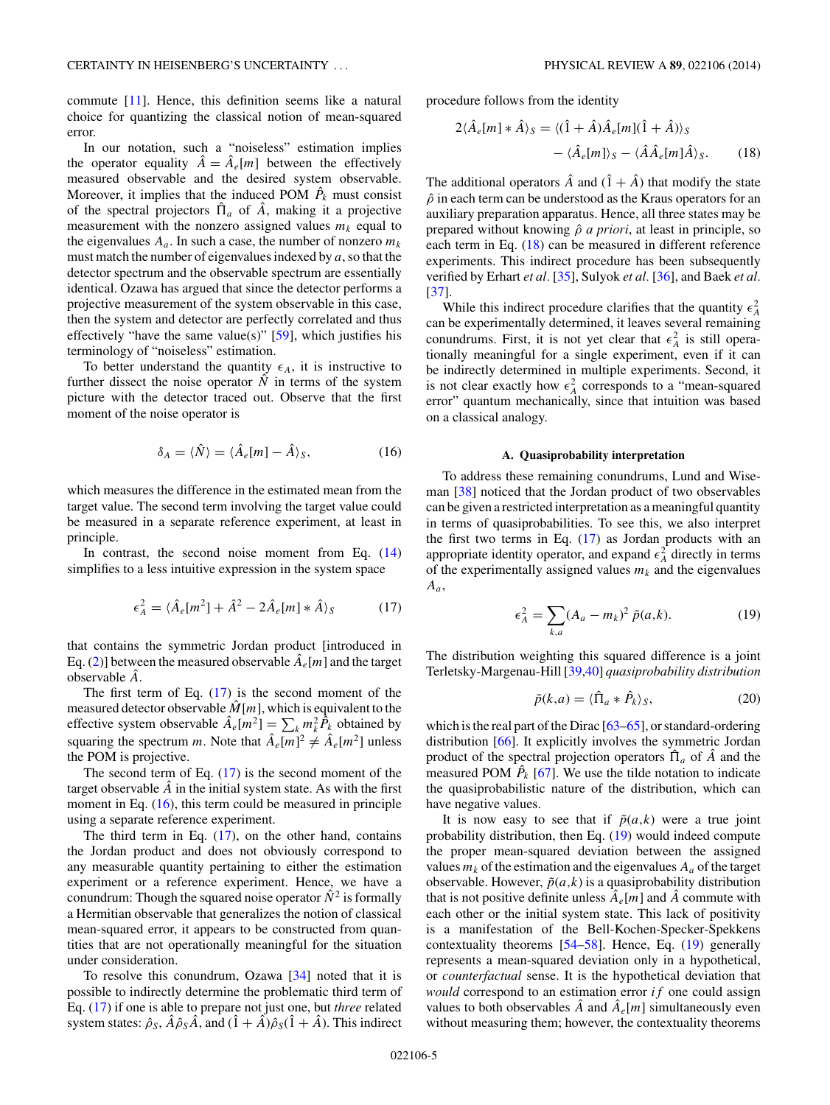<span id="page-4-0"></span>commute [\[11\]](#page-12-0). Hence, this definition seems like a natural choice for quantizing the classical notion of mean-squared error.

In our notation, such a "noiseless" estimation implies the operator equality  $\hat{A} = \hat{A}_e[m]$  between the effectively measured observable and the desired system observable. Moreover, it implies that the induced POM  $\hat{P}_k$  must consist of the spectral projectors  $\hat{\Pi}_a$  of  $\hat{A}$ , making it a projective measurement with the nonzero assigned values  $m_k$  equal to the eigenvalues  $A_a$ . In such a case, the number of nonzero  $m_k$ must match the number of eigenvalues indexed by *a*, so that the detector spectrum and the observable spectrum are essentially identical. Ozawa has argued that since the detector performs a projective measurement of the system observable in this case, then the system and detector are perfectly correlated and thus effectively "have the same value(s)"  $[59]$ , which justifies his terminology of "noiseless" estimation.

To better understand the quantity  $\epsilon_A$ , it is instructive to further dissect the noise operator  $\dot{N}$  in terms of the system picture with the detector traced out. Observe that the first moment of the noise operator is

$$
\delta_A = \langle \hat{N} \rangle = \langle \hat{A}_e[m] - \hat{A} \rangle_S, \tag{16}
$$

which measures the difference in the estimated mean from the target value. The second term involving the target value could be measured in a separate reference experiment, at least in principle.

In contrast, the second noise moment from Eq.  $(14)$ simplifies to a less intuitive expression in the system space

$$
\epsilon_A^2 = \langle \hat{A}_e[m^2] + \hat{A}^2 - 2\hat{A}_e[m] * \hat{A} \rangle_S \tag{17}
$$

that contains the symmetric Jordan product [introduced in Eq. [\(2\)](#page-0-0)] between the measured observable  $A_e[m]$  and the target observable *A*ˆ.

The first term of Eq.  $(17)$  is the second moment of the measured detector observable  $\hat{M}[m]$ , which is equivalent to the effective system observable  $\hat{A}_e[m^2] = \sum_k m_k^2 \hat{P}_k$  obtained by squaring the spectrum *m*. Note that  $\hat{A}_e[m]^2 \neq \hat{A}_e[m^2]$  unless the POM is projective.

The second term of Eq.  $(17)$  is the second moment of the target observable  $\hat{A}$  in the initial system state. As with the first moment in Eq. (16), this term could be measured in principle using a separate reference experiment.

The third term in Eq.  $(17)$ , on the other hand, contains the Jordan product and does not obviously correspond to any measurable quantity pertaining to either the estimation experiment or a reference experiment. Hence, we have a conundrum: Though the squared noise operator  $\hat{N}^2$  is formally a Hermitian observable that generalizes the notion of classical mean-squared error, it appears to be constructed from quantities that are not operationally meaningful for the situation under consideration.

To resolve this conundrum, Ozawa [\[34\]](#page-12-0) noted that it is possible to indirectly determine the problematic third term of Eq. (17) if one is able to prepare not just one, but *three* related system states:  $\hat{\rho}_s$ ,  $\hat{A}\hat{\rho}_s\hat{A}$ , and  $(\hat{1}+\hat{A})\hat{\rho}_s(\hat{1}+\hat{A})$ . This indirect

procedure follows from the identity

$$
2\langle \hat{A}_{e}[m] * \hat{A} \rangle_{S} = \langle (\hat{1} + \hat{A})\hat{A}_{e}[m](\hat{1} + \hat{A}) \rangle_{S}
$$

$$
- \langle \hat{A}_{e}[m] \rangle_{S} - \langle \hat{A}\hat{A}_{e}[m]\hat{A} \rangle_{S}. \tag{18}
$$

The additional operators  $\hat{A}$  and  $(\hat{1} + \hat{A})$  that modify the state  $\rho$  in each term can be understood as the Kraus operators for an auxiliary preparation apparatus. Hence, all three states may be prepared without knowing ˆ*ρ a priori*, at least in principle, so each term in Eq. (18) can be measured in different reference experiments. This indirect procedure has been subsequently verified by Erhart *et al.* [\[35\]](#page-12-0), Sulyok *et al.* [\[36\]](#page-12-0), and Baek *et al.* [\[37\]](#page-12-0).

While this indirect procedure clarifies that the quantity  $\epsilon_A^2$ can be experimentally determined, it leaves several remaining conundrums. First, it is not yet clear that  $\epsilon_A^2$  is still operationally meaningful for a single experiment, even if it can be indirectly determined in multiple experiments. Second, it is not clear exactly how  $\epsilon_A^2$  corresponds to a "mean-squared error" quantum mechanically, since that intuition was based on a classical analogy.

#### **A. Quasiprobability interpretation**

To address these remaining conundrums, Lund and Wiseman [\[38\]](#page-12-0) noticed that the Jordan product of two observables can be given a restricted interpretation as a meaningful quantity in terms of quasiprobabilities. To see this, we also interpret the first two terms in Eq.  $(17)$  as Jordan products with an appropriate identity operator, and expand  $\epsilon_A^2$  directly in terms of the experimentally assigned values  $m_k$  and the eigenvalues *Aa*,

$$
\epsilon_A^2 = \sum_{k,a} (A_a - m_k)^2 \tilde{p}(a,k). \tag{19}
$$

The distribution weighting this squared difference is a joint Terletsky-Margenau-Hill [\[39,40\]](#page-12-0) *quasiprobability distribution*

$$
\tilde{p}(k,a) = \langle \hat{\Pi}_a * \hat{P}_k \rangle_S, \tag{20}
$$

which is the real part of the Dirac [\[63–65\]](#page-12-0), or standard-ordering distribution [\[66\]](#page-12-0). It explicitly involves the symmetric Jordan product of the spectral projection operators  $\hat{\Pi}_a$  of  $\hat{A}$  and the measured POM  $\hat{P}_k$  [\[67\]](#page-12-0). We use the tilde notation to indicate the quasiprobabilistic nature of the distribution, which can have negative values.

It is now easy to see that if  $\tilde{p}(a,k)$  were a true joint probability distribution, then Eq. (19) would indeed compute the proper mean-squared deviation between the assigned values  $m_k$  of the estimation and the eigenvalues  $A_a$  of the target observable. However,  $\tilde{p}(a,k)$  is a quasiprobability distribution that is not positive definite unless  $A_{\epsilon}[m]$  and A commute with each other or the initial system state. This lack of positivity is a manifestation of the Bell-Kochen-Specker-Spekkens contextuality theorems [\[54–58\]](#page-12-0). Hence, Eq. (19) generally represents a mean-squared deviation only in a hypothetical, or *counterfactual* sense. It is the hypothetical deviation that *would* correspond to an estimation error *if* one could assign values to both observables  $\hat{A}$  and  $\hat{A}_e[m]$  simultaneously even without measuring them; however, the contextuality theorems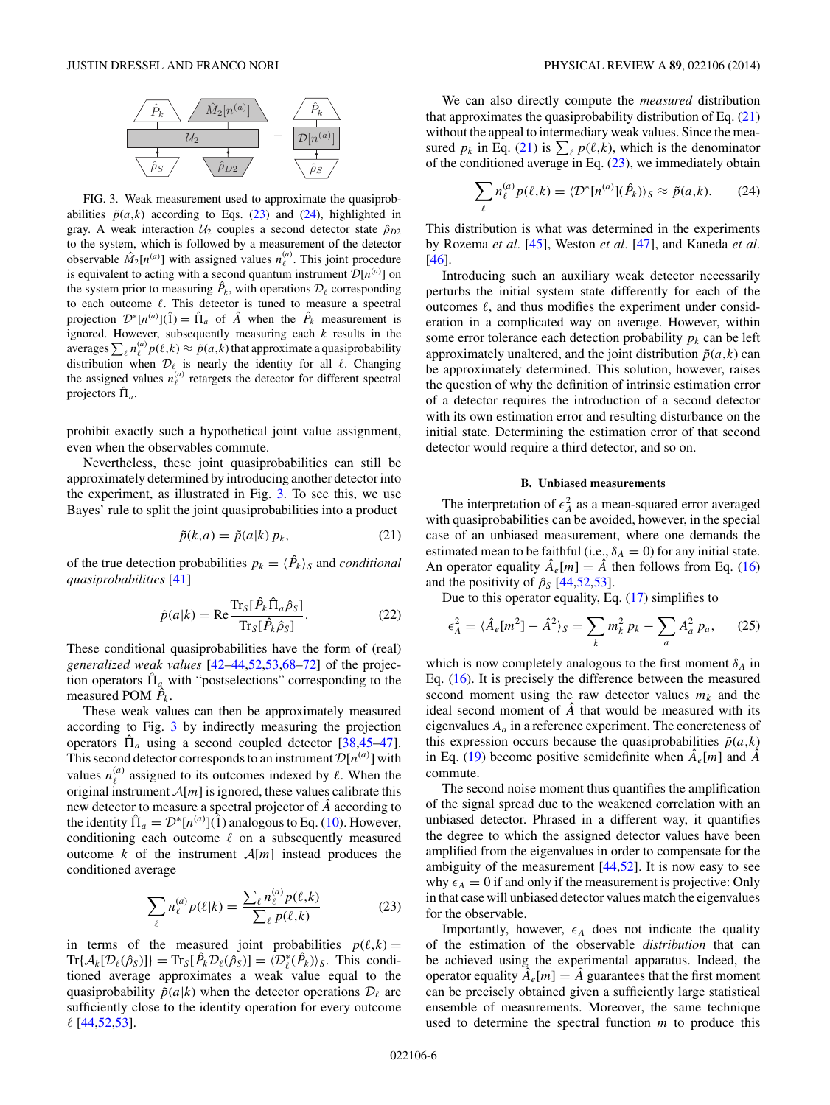<span id="page-5-0"></span>

FIG. 3. Weak measurement used to approximate the quasiprobabilities  $\tilde{p}(a,k)$  according to Eqs. (23) and (24), highlighted in gray. A weak interaction  $U_2$  couples a second detector state  $\hat{\rho}_{D2}$ to the system, which is followed by a measurement of the detector observable  $\hat{M}_2[n^{(a)}]$  with assigned values  $n^{(a)}_\ell$ . This joint procedure is equivalent to acting with a second quantum instrument  $\mathcal{D}[n^{(a)}]$  on the system prior to measuring  $\hat{P}_k$ , with operations  $\mathcal{D}_\ell$  corresponding to each outcome  $\ell$ . This detector is tuned to measure a spectral projection  $\mathcal{D}^{\ast}[n^{(a)}](\hat{1}) = \hat{\Pi}_a$  of  $\hat{A}$  when the  $\hat{P}_k$  measurement is ignored. However, subsequently measuring each *k* results in the averages  $\sum_{\ell} n_{\ell}^{(a)} p(\ell,k) \approx \tilde{p}(a,k)$  that approximate a quasiprobability distribution when  $\mathcal{D}_{\ell}$  is nearly the identity for all  $\ell$ . Changing the assigned values  $n_{\ell}^{(a)}$  retargets the detector for different spectral projectors  $\hat{\Pi}_a$ .

prohibit exactly such a hypothetical joint value assignment, even when the observables commute.

Nevertheless, these joint quasiprobabilities can still be approximately determined by introducing another detector into the experiment, as illustrated in Fig. 3. To see this, we use Bayes' rule to split the joint quasiprobabilities into a product

$$
\tilde{p}(k,a) = \tilde{p}(a|k) p_k,\tag{21}
$$

of the true detection probabilities  $p_k = \langle \hat{P}_k \rangle_S$  and *conditional quasiprobabilities* [\[41\]](#page-12-0)

$$
\tilde{p}(a|k) = \text{Re}\frac{\text{Tr}_{S}[\hat{P}_{k}\hat{\Pi}_{a}\hat{\rho}_{S}]}{\text{Tr}_{S}[\hat{P}_{k}\hat{\rho}_{S}]}.
$$
\n(22)

These conditional quasiprobabilities have the form of (real) *generalized weak values* [\[42–44,52,53,68–72\]](#page-12-0) of the projection operators  $\hat{\Pi}_a$  with "postselections" corresponding to the measured POM  $\hat{P}_k$ .

These weak values can then be approximately measured according to Fig. 3 by indirectly measuring the projection operators  $\hat{\Pi}_a$  using a second coupled detector [\[38,45–47\]](#page-12-0). This second detector corresponds to an instrument  $\mathcal{D}[n^{(a)}]$  with values  $n_{\ell}^{(a)}$  assigned to its outcomes indexed by  $\ell$ . When the original instrument  $A[m]$  is ignored, these values calibrate this new detector to measure a spectral projector of *A*ˆ according to the identity  $\hat{\Pi}_a = \mathcal{D}^*[n^{(a)}](\hat{1})$  analogous to Eq. ([10\)](#page-3-0). However, conditioning each outcome  $\ell$  on a subsequently measured outcome *k* of the instrument  $A[m]$  instead produces the conditioned average

$$
\sum_{\ell} n_{\ell}^{(a)} p(\ell|k) = \frac{\sum_{\ell} n_{\ell}^{(a)} p(\ell,k)}{\sum_{\ell} p(\ell,k)} \tag{23}
$$

in terms of the measured joint probabilities  $p(\ell, k) =$  $\text{Tr}\{\mathcal{A}_k[\mathcal{D}_\ell(\hat{\rho}_S)]\} = \text{Tr}_S[\hat{P}_k \mathcal{D}_\ell(\hat{\rho}_S)] = \langle \mathcal{D}_\ell^*(\hat{P}_k) \rangle_S$ . This conditioned average approximates a weak value equal to the quasiprobability  $\tilde{p}(a|k)$  when the detector operations  $\mathcal{D}_{\ell}$  are sufficiently close to the identity operation for every outcome  [\[44,52,53\]](#page-12-0).

We can also directly compute the *measured* distribution that approximates the quasiprobability distribution of Eq.  $(21)$ without the appeal to intermediary weak values. Since the measured  $p_k$  in Eq. (21) is  $\sum_{\ell} p(\ell, k)$ , which is the denominator of the conditioned average in Eq.  $(23)$ , we immediately obtain

$$
\sum_{\ell} n_{\ell}^{(a)} p(\ell, k) = \langle \mathcal{D}^* [n^{(a)}](\hat{P}_k) \rangle_S \approx \tilde{p}(a, k). \tag{24}
$$

This distribution is what was determined in the experiments by Rozema *et al.* [\[45\]](#page-12-0), Weston *et al.* [\[47\]](#page-12-0), and Kaneda *et al.* [\[46\]](#page-12-0).

Introducing such an auxiliary weak detector necessarily perturbs the initial system state differently for each of the outcomes  $\ell$ , and thus modifies the experiment under consideration in a complicated way on average. However, within some error tolerance each detection probability  $p_k$  can be left approximately unaltered, and the joint distribution  $\tilde{p}(a,k)$  can be approximately determined. This solution, however, raises the question of why the definition of intrinsic estimation error of a detector requires the introduction of a second detector with its own estimation error and resulting disturbance on the initial state. Determining the estimation error of that second detector would require a third detector, and so on.

## **B. Unbiased measurements**

The interpretation of  $\epsilon_A^2$  as a mean-squared error averaged with quasiprobabilities can be avoided, however, in the special case of an unbiased measurement, where one demands the estimated mean to be faithful (i.e.,  $\delta_A = 0$ ) for any initial state. An operator equality  $\hat{A}_e[m] = \hat{A}$  then follows from Eq. [\(16\)](#page-4-0) and the positivity of  $\hat{\rho}_s$  [\[44,52,53\]](#page-12-0).

Due to this operator equality, Eq. [\(17\)](#page-4-0) simplifies to

$$
\epsilon_A^2 = \langle \hat{A}_e[m^2] - \hat{A}^2 \rangle_S = \sum_k m_k^2 p_k - \sum_a A_a^2 p_a, \qquad (25)
$$

which is now completely analogous to the first moment  $\delta_A$  in Eq. [\(16\)](#page-4-0). It is precisely the difference between the measured second moment using the raw detector values  $m_k$  and the ideal second moment of  $\hat{A}$  that would be measured with its eigenvalues *Aa* in a reference experiment. The concreteness of this expression occurs because the quasiprobabilities  $\tilde{p}(a,k)$ in Eq. [\(19\)](#page-4-0) become positive semidefinite when  $A_e[m]$  and  $\hat{A}$ commute.

The second noise moment thus quantifies the amplification of the signal spread due to the weakened correlation with an unbiased detector. Phrased in a different way, it quantifies the degree to which the assigned detector values have been amplified from the eigenvalues in order to compensate for the ambiguity of the measurement  $[44,52]$ . It is now easy to see why  $\epsilon_A = 0$  if and only if the measurement is projective: Only in that case will unbiased detector values match the eigenvalues for the observable.

Importantly, however,  $\epsilon_A$  does not indicate the quality of the estimation of the observable *distribution* that can be achieved using the experimental apparatus. Indeed, the operator equality  $\hat{A}_e[m] = \hat{A}$  guarantees that the first moment can be precisely obtained given a sufficiently large statistical ensemble of measurements. Moreover, the same technique used to determine the spectral function *m* to produce this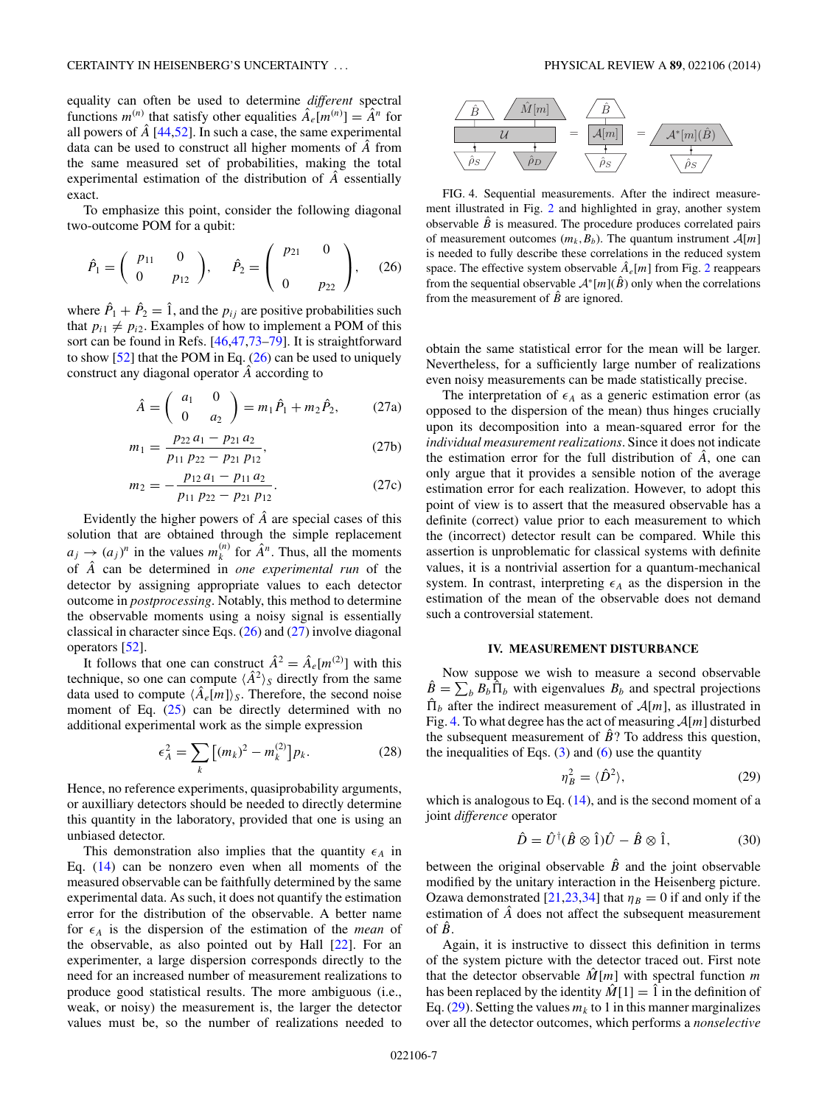<span id="page-6-0"></span>equality can often be used to determine *different* spectral functions  $m^{(n)}$  that satisfy other equalities  $\hat{A}_{e}[m^{(n)}] = \hat{A}^{n}$  for all powers of  $\hat{A}$  [\[44,52\]](#page-12-0). In such a case, the same experimental data can be used to construct all higher moments of *A*ˆ from the same measured set of probabilities, making the total experimental estimation of the distribution of *A*ˆ essentially exact.

To emphasize this point, consider the following diagonal two-outcome POM for a qubit:

$$
\hat{P}_1 = \begin{pmatrix} p_{11} & 0 \\ 0 & p_{12} \end{pmatrix}, \quad \hat{P}_2 = \begin{pmatrix} p_{21} & 0 \\ 0 & p_{22} \end{pmatrix}, \quad (26)
$$

where  $\hat{P}_1 + \hat{P}_2 = \hat{1}$ , and the  $p_{ij}$  are positive probabilities such that  $p_{i1} \neq p_{i2}$ . Examples of how to implement a POM of this sort can be found in Refs. [\[46,47,73–79\]](#page-12-0). It is straightforward to show  $[52]$  that the POM in Eq.  $(26)$  can be used to uniquely construct any diagonal operator *A*ˆ according to

$$
\hat{A} = \begin{pmatrix} a_1 & 0 \\ 0 & a_2 \end{pmatrix} = m_1 \hat{P}_1 + m_2 \hat{P}_2, \qquad (27a)
$$

$$
m_1 = \frac{p_{22} a_1 - p_{21} a_2}{p_{11} p_{22} - p_{21} p_{12}},
$$
 (27b)

$$
m_2 = -\frac{p_{12} a_1 - p_{11} a_2}{p_{11} p_{22} - p_{21} p_{12}}.
$$
 (27c)

Evidently the higher powers of  $\hat{A}$  are special cases of this solution that are obtained through the simple replacement  $a_j \rightarrow (a_j)^n$  in the values  $m_k^{(n)}$  for  $\hat{A}^n$ . Thus, all the moments of *A*ˆ can be determined in *one experimental run* of the detector by assigning appropriate values to each detector outcome in *postprocessing*. Notably, this method to determine the observable moments using a noisy signal is essentially classical in character since Eqs. (26) and (27) involve diagonal operators [\[52\]](#page-12-0).

It follows that one can construct  $\hat{A}^2 = \hat{A}_e[m^{(2)}]$  with this technique, so one can compute  $\langle \hat{A}^2 \rangle_S$  directly from the same data used to compute  $\langle \hat{A}_e[m] \rangle_{\mathcal{S}}$ . Therefore, the second noise moment of Eq.  $(25)$  can be directly determined with no additional experimental work as the simple expression

$$
\epsilon_A^2 = \sum_k \left[ (m_k)^2 - m_k^{(2)} \right] p_k. \tag{28}
$$

Hence, no reference experiments, quasiprobability arguments, or auxilliary detectors should be needed to directly determine this quantity in the laboratory, provided that one is using an unbiased detector.

This demonstration also implies that the quantity  $\epsilon_A$  in Eq. [\(14\)](#page-3-0) can be nonzero even when all moments of the measured observable can be faithfully determined by the same experimental data. As such, it does not quantify the estimation error for the distribution of the observable. A better name for  $\epsilon_A$  is the dispersion of the estimation of the *mean* of the observable, as also pointed out by Hall [\[22\]](#page-12-0). For an experimenter, a large dispersion corresponds directly to the need for an increased number of measurement realizations to produce good statistical results. The more ambiguous (i.e., weak, or noisy) the measurement is, the larger the detector values must be, so the number of realizations needed to



FIG. 4. Sequential measurements. After the indirect measurement illustrated in Fig. [2](#page-3-0) and highlighted in gray, another system observable  $\hat{B}$  is measured. The procedure produces correlated pairs of measurement outcomes  $(m_k, B_b)$ . The quantum instrument  $\mathcal{A}[m]$ is needed to fully describe these correlations in the reduced system space. The effective system observable  $\hat{A}_e[m]$  from Fig. [2](#page-3-0) reappears from the sequential observable  $\mathcal{A}^*[m](\hat{B})$  only when the correlations from the measurement of  $\hat{B}$  are ignored.

obtain the same statistical error for the mean will be larger. Nevertheless, for a sufficiently large number of realizations even noisy measurements can be made statistically precise.

The interpretation of  $\epsilon_A$  as a generic estimation error (as opposed to the dispersion of the mean) thus hinges crucially upon its decomposition into a mean-squared error for the *individual measurement realizations*. Since it does not indicate the estimation error for the full distribution of  $\hat{A}$ , one can only argue that it provides a sensible notion of the average estimation error for each realization. However, to adopt this point of view is to assert that the measured observable has a definite (correct) value prior to each measurement to which the (incorrect) detector result can be compared. While this assertion is unproblematic for classical systems with definite values, it is a nontrivial assertion for a quantum-mechanical system. In contrast, interpreting  $\epsilon_A$  as the dispersion in the estimation of the mean of the observable does not demand such a controversial statement.

#### **IV. MEASUREMENT DISTURBANCE**

Now suppose we wish to measure a second observable  $\hat{B} = \sum_{b} B_b \hat{\Pi}_b$  with eigenvalues  $B_b$  and spectral projections  $\hat{\Pi}_b$  after the indirect measurement of  $\mathcal{A}[m]$ , as illustrated in Fig. 4. To what degree has the act of measuring  $\mathcal{A}[m]$  disturbed the subsequent measurement of  $\hat{B}$ ? To address this question, the inequalities of Eqs.  $(3)$  and  $(6)$  use the quantity

$$
\eta_B^2 = \langle \hat{D}^2 \rangle,\tag{29}
$$

which is analogous to Eq.  $(14)$ , and is the second moment of a joint *difference* operator

$$
\hat{D} = \hat{U}^{\dagger} (\hat{B} \otimes \hat{1}) \hat{U} - \hat{B} \otimes \hat{1}, \tag{30}
$$

between the original observable  $\hat{B}$  and the joint observable modified by the unitary interaction in the Heisenberg picture. Ozawa demonstrated [\[21,23,34\]](#page-12-0) that  $\eta_B = 0$  if and only if the estimation of *A*ˆ does not affect the subsequent measurement of  $\hat{B}$ .

Again, it is instructive to dissect this definition in terms of the system picture with the detector traced out. First note that the detector observable  $\hat{M}[m]$  with spectral function *m* has been replaced by the identity  $\hat{M}[1] = \hat{1}$  in the definition of Eq.  $(29)$ . Setting the values  $m_k$  to 1 in this manner marginalizes over all the detector outcomes, which performs a *nonselective*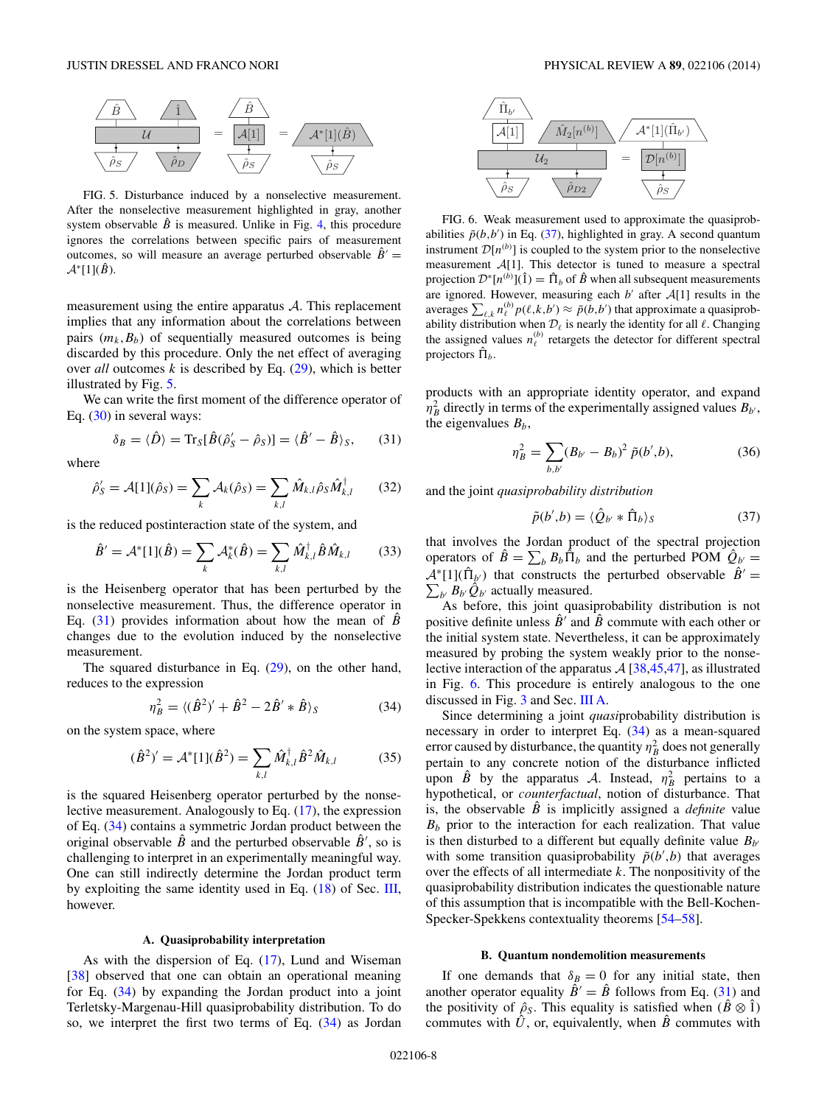<span id="page-7-0"></span>

FIG. 5. Disturbance induced by a nonselective measurement. After the nonselective measurement highlighted in gray, another system observable  $\hat{B}$  is measured. Unlike in Fig. [4,](#page-6-0) this procedure ignores the correlations between specific pairs of measurement outcomes, so will measure an average perturbed observable  $\hat{B}'$  =  $\mathcal{A}^*[1](\hat{B})$ .

measurement using the entire apparatus  $A$ . This replacement implies that any information about the correlations between pairs  $(m_k, B_b)$  of sequentially measured outcomes is being discarded by this procedure. Only the net effect of averaging over *all* outcomes *k* is described by Eq. [\(29\)](#page-6-0), which is better illustrated by Fig. 5.

We can write the first moment of the difference operator of Eq. [\(30\)](#page-6-0) in several ways:

$$
\delta_B = \langle \hat{D} \rangle = \text{Tr}_S[\hat{B}(\hat{\rho}_S' - \hat{\rho}_S)] = \langle \hat{B}' - \hat{B} \rangle_S, \qquad (31)
$$

where

$$
\hat{\rho}'_S = \mathcal{A}[1](\hat{\rho}_S) = \sum_k \mathcal{A}_k(\hat{\rho}_S) = \sum_{k,l} \hat{M}_{k,l} \hat{\rho}_S \hat{M}_{k,l}^\dagger \qquad (32)
$$

is the reduced postinteraction state of the system, and

$$
\hat{B}' = A^* [1](\hat{B}) = \sum_k A_k^* (\hat{B}) = \sum_{k,l} \hat{M}_{k,l}^\dagger \hat{B} \hat{M}_{k,l} \qquad (33)
$$

is the Heisenberg operator that has been perturbed by the nonselective measurement. Thus, the difference operator in Eq.  $(31)$  provides information about how the mean of *B* changes due to the evolution induced by the nonselective measurement.

The squared disturbance in Eq.  $(29)$ , on the other hand, reduces to the expression

$$
\eta_B^2 = \langle (\hat{B}^2)' + \hat{B}^2 - 2\hat{B}' * \hat{B} \rangle_S \tag{34}
$$

on the system space, where

$$
(\hat{B}^2)' = \mathcal{A}^*[1](\hat{B}^2) = \sum_{k,l} \hat{M}_{k,l}^\dagger \hat{B}^2 \hat{M}_{k,l} \tag{35}
$$

is the squared Heisenberg operator perturbed by the nonselective measurement. Analogously to Eq. [\(17\)](#page-4-0), the expression of Eq. (34) contains a symmetric Jordan product between the original observable  $\hat{B}$  and the perturbed observable  $\hat{B}'$ , so is challenging to interpret in an experimentally meaningful way. One can still indirectly determine the Jordan product term by exploiting the same identity used in Eq. [\(18\)](#page-4-0) of Sec. [III,](#page-3-0) however.

## **A. Quasiprobability interpretation**

As with the dispersion of Eq. [\(17\)](#page-4-0), Lund and Wiseman [\[38\]](#page-12-0) observed that one can obtain an operational meaning for Eq. (34) by expanding the Jordan product into a joint Terletsky-Margenau-Hill quasiprobability distribution. To do so, we interpret the first two terms of Eq. (34) as Jordan



FIG. 6. Weak measurement used to approximate the quasiprobabilities  $\tilde{p}(b,b')$  in Eq. (37), highlighted in gray. A second quantum instrument  $\mathcal{D}[n^{(b)}]$  is coupled to the system prior to the nonselective measurement A[1]. This detector is tuned to measure a spectral projection  $\mathcal{D}^*[n^{(b)}](\hat{1}) = \hat{\Pi}_b$  of  $\hat{B}$  when all subsequent measurements are ignored. However, measuring each  $b'$  after  $A[1]$  results in the averages  $\sum_{\ell,k} n_{\ell}^{(b)} p(\ell,k,b') \approx \tilde{p}(b,b')$  that approximate a quasiprobability distribution when  $\mathcal{D}_{\ell}$  is nearly the identity for all  $\ell$ . Changing the assigned values  $n_{\ell}^{(b)}$  retargets the detector for different spectral projectors  $\hat{\Pi}_h$ .

products with an appropriate identity operator, and expand  $\eta_B^2$  directly in terms of the experimentally assigned values  $B_{b'}$ , the eigenvalues  $B_b$ ,

$$
\eta_B^2 = \sum_{b,b'} (B_{b'} - B_b)^2 \ \tilde{p}(b',b),\tag{36}
$$

and the joint *quasiprobability distribution*

$$
\tilde{p}(b',b) = \langle \hat{Q}_{b'} * \hat{\Pi}_b \rangle_S \tag{37}
$$

that involves the Jordan product of the spectral projection operators of  $\hat{B} = \sum_{b} B_{b} \hat{\Pi}_{b}$  and the perturbed POM  $\hat{Q}_{b'} =$  $\mathcal{A}^*[1](\hat{\Pi}_{b'})$  that constructs the perturbed observable  $\hat{B}' = \sum_{b'} B_{b'} \hat{Q}_{b'}$  actually measured.  $\sum_{b} B_{b} \hat{Q}_{b}$  actually measured.

As before, this joint quasiprobability distribution is not positive definite unless  $\vec{B}^{\prime}$  and  $\vec{B}$  commute with each other or the initial system state. Nevertheless, it can be approximately measured by probing the system weakly prior to the nonselective interaction of the apparatus  $\mathcal{A}$  [\[38,45,47\]](#page-12-0), as illustrated in Fig. 6. This procedure is entirely analogous to the one discussed in Fig. [3](#page-5-0) and Sec. [III A.](#page-4-0)

Since determining a joint *quasi*probability distribution is necessary in order to interpret Eq. (34) as a mean-squared error caused by disturbance, the quantity  $\eta_B^2$  does not generally pertain to any concrete notion of the disturbance inflicted upon  $\hat{B}$  by the apparatus A. Instead,  $\eta_B^2$  pertains to a hypothetical, or *counterfactual*, notion of disturbance. That is, the observable  $\hat{B}$  is implicitly assigned a *definite* value  $B<sub>b</sub>$  prior to the interaction for each realization. That value is then disturbed to a different but equally definite value  $B_{b'}$ with some transition quasiprobability  $\tilde{p}(b',b)$  that averages over the effects of all intermediate *k*. The nonpositivity of the quasiprobability distribution indicates the questionable nature of this assumption that is incompatible with the Bell-Kochen-Specker-Spekkens contextuality theorems [\[54–58\]](#page-12-0).

#### **B. Quantum nondemolition measurements**

If one demands that  $\delta_B = 0$  for any initial state, then another operator equality  $\hat{B}' = \hat{B}$  follows from Eq. (31) and the positivity of  $\hat{\rho}_s$ . This equality is satisfied when  $(\hat{B} \otimes \hat{1})$ commutes with  $\hat{U}$ , or, equivalently, when  $\hat{B}$  commutes with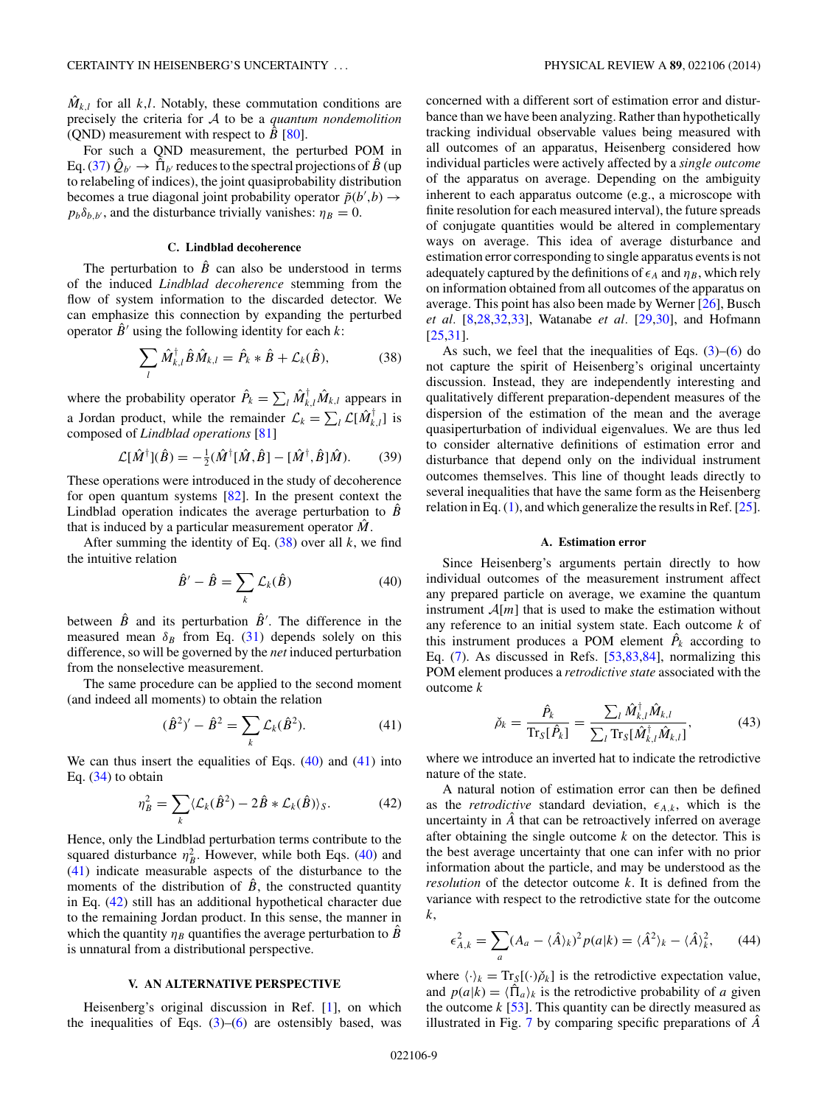<span id="page-8-0"></span> $\hat{M}_{k,l}$  for all *k,l*. Notably, these commutation conditions are precisely the criteria for A to be a *quantum nondemolition* (QND) measurement with respect to  $\hat{B}$  [\[80\]](#page-12-0).

For such a QND measurement, the perturbed POM in Eq. [\(37\)](#page-7-0)  $\hat{Q}_{b'} \rightarrow \hat{\Pi}_{b'}$  reduces to the spectral projections of  $\hat{B}$  (up to relabeling of indices), the joint quasiprobability distribution becomes a true diagonal joint probability operator  $\tilde{p}(b',b) \rightarrow$  $p_b\delta_{b,b}$ , and the disturbance trivially vanishes:  $\eta_B = 0$ .

## **C. Lindblad decoherence**

The perturbation to  $\hat{B}$  can also be understood in terms of the induced *Lindblad decoherence* stemming from the flow of system information to the discarded detector. We can emphasize this connection by expanding the perturbed operator  $\hat{B}^{\prime}$  using the following identity for each *k*:

$$
\sum_{l} \hat{M}_{k,l}^{\dagger} \hat{B} \hat{M}_{k,l} = \hat{P}_k * \hat{B} + \mathcal{L}_k(\hat{B}), \tag{38}
$$

where the probability operator  $\hat{P}_k = \sum_l \hat{M}_{k,l}^{\dagger} \hat{M}_{k,l}$  appears in a Jordan product, while the remainder  $\mathcal{L}_k = \sum_l \mathcal{L}[\hat{M}_{k,l}^{\dagger}]$  is composed of *Lindblad operations* [\[81\]](#page-12-0)

$$
\mathcal{L}[\hat{M}^{\dagger}](\hat{B}) = -\frac{1}{2}(\hat{M}^{\dagger}[\hat{M}, \hat{B}] - [\hat{M}^{\dagger}, \hat{B}]\hat{M}).
$$
 (39)

These operations were introduced in the study of decoherence for open quantum systems [\[82\]](#page-12-0). In the present context the Lindblad operation indicates the average perturbation to  $\hat{B}$ that is induced by a particular measurement operator  $\hat{M}$ .

After summing the identity of Eq. (38) over all *k*, we find the intuitive relation

$$
\hat{B}' - \hat{B} = \sum_{k} \mathcal{L}_{k}(\hat{B})
$$
\n(40)

between  $\hat{B}$  and its perturbation  $\hat{B}'$ . The difference in the measured mean  $\delta_B$  from Eq. [\(31\)](#page-7-0) depends solely on this difference, so will be governed by the *net* induced perturbation from the nonselective measurement.

The same procedure can be applied to the second moment (and indeed all moments) to obtain the relation

$$
(\hat{B}^2)' - \hat{B}^2 = \sum_{k} \mathcal{L}_k(\hat{B}^2).
$$
 (41)

We can thus insert the equalities of Eqs. (40) and (41) into Eq. [\(34\)](#page-7-0) to obtain

$$
\eta_B^2 = \sum_k \langle \mathcal{L}_k(\hat{B}^2) - 2\hat{B} * \mathcal{L}_k(\hat{B}) \rangle_S. \tag{42}
$$

Hence, only the Lindblad perturbation terms contribute to the squared disturbance  $\eta_B^2$ . However, while both Eqs. (40) and (41) indicate measurable aspects of the disturbance to the moments of the distribution of  $\tilde{B}$ , the constructed quantity in Eq. (42) still has an additional hypothetical character due to the remaining Jordan product. In this sense, the manner in which the quantity  $\eta_B$  quantifies the average perturbation to *B* is unnatural from a distributional perspective.

## **V. AN ALTERNATIVE PERSPECTIVE**

Heisenberg's original discussion in Ref. [\[1\]](#page-11-0), on which the inequalities of Eqs.  $(3)$ – $(6)$  are ostensibly based, was concerned with a different sort of estimation error and disturbance than we have been analyzing. Rather than hypothetically tracking individual observable values being measured with all outcomes of an apparatus, Heisenberg considered how individual particles were actively affected by a *single outcome* of the apparatus on average. Depending on the ambiguity inherent to each apparatus outcome (e.g., a microscope with finite resolution for each measured interval), the future spreads of conjugate quantities would be altered in complementary ways on average. This idea of average disturbance and estimation error corresponding to single apparatus events is not adequately captured by the definitions of  $\epsilon_A$  and  $\eta_B$ , which rely on information obtained from all outcomes of the apparatus on average. This point has also been made by Werner [\[26\]](#page-12-0), Busch

As such, we feel that the inequalities of Eqs.  $(3)$ – $(6)$  do not capture the spirit of Heisenberg's original uncertainty discussion. Instead, they are independently interesting and qualitatively different preparation-dependent measures of the dispersion of the estimation of the mean and the average quasiperturbation of individual eigenvalues. We are thus led to consider alternative definitions of estimation error and disturbance that depend only on the individual instrument outcomes themselves. This line of thought leads directly to several inequalities that have the same form as the Heisenberg relation in Eq.  $(1)$ , and which generalize the results in Ref.  $[25]$ .

*et al.* [\[8](#page-11-0)[,28,32,33\]](#page-12-0), Watanabe *et al.* [\[29,30\]](#page-12-0), and Hofmann

[\[25,31\]](#page-12-0).

## **A. Estimation error**

Since Heisenberg's arguments pertain directly to how individual outcomes of the measurement instrument affect any prepared particle on average, we examine the quantum instrument  $A[m]$  that is used to make the estimation without any reference to an initial system state. Each outcome *k* of this instrument produces a POM element  $\hat{P}_k$  according to Eq. [\(7\)](#page-3-0). As discussed in Refs. [\[53,83,](#page-12-0)[84\]](#page-13-0), normalizing this POM element produces a *retrodictive state* associated with the outcome *k*

$$
\check{\rho}_k = \frac{\hat{P}_k}{\operatorname{Tr}_S[\hat{P}_k]} = \frac{\sum_l \hat{M}_{k,l}^\dagger \hat{M}_{k,l}}{\sum_l \operatorname{Tr}_S[\hat{M}_{k,l}^\dagger \hat{M}_{k,l}]} ,\tag{43}
$$

where we introduce an inverted hat to indicate the retrodictive nature of the state.

A natural notion of estimation error can then be defined as the *retrodictive* standard deviation,  $\epsilon_{A,k}$ , which is the uncertainty in  $\hat{A}$  that can be retroactively inferred on average after obtaining the single outcome *k* on the detector. This is the best average uncertainty that one can infer with no prior information about the particle, and may be understood as the *resolution* of the detector outcome *k*. It is defined from the variance with respect to the retrodictive state for the outcome *k*,

$$
\epsilon_{A,k}^2 = \sum_a (A_a - \langle \hat{A} \rangle_k)^2 p(a|k) = \langle \hat{A}^2 \rangle_k - \langle \hat{A} \rangle_k^2, \qquad (44)
$$

where  $\langle \cdot \rangle_k = \text{Tr}_S[(\cdot)\check{\rho}_k]$  is the retrodictive expectation value, and  $p(a|k) = \langle \hat{\Pi}_a \rangle_k$  is the retrodictive probability of *a* given the outcome  $k$  [\[53\]](#page-12-0). This quantity can be directly measured as illustrated in Fig. [7](#page-9-0) by comparing specific preparations of *A*ˆ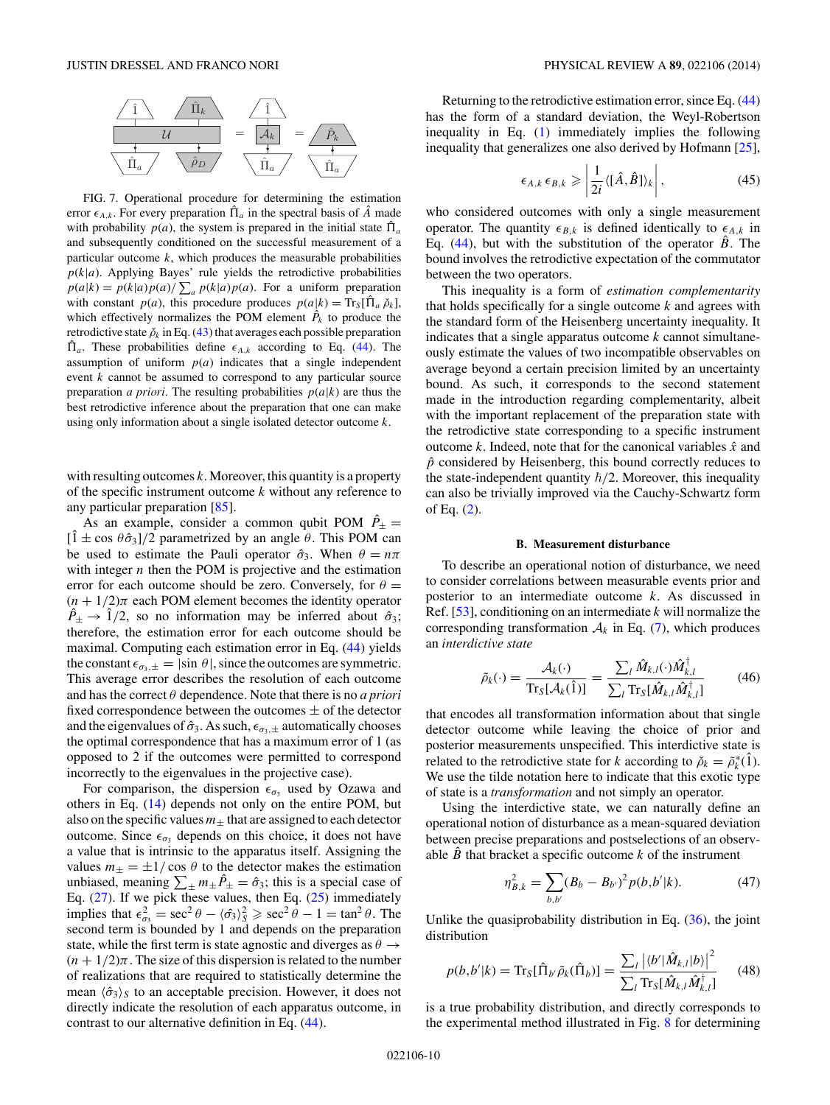<span id="page-9-0"></span>

FIG. 7. Operational procedure for determining the estimation error  $\epsilon_{A,k}$ . For every preparation  $\hat{\Pi}_a$  in the spectral basis of  $\hat{A}$  made with probability  $p(a)$ , the system is prepared in the initial state  $\hat{\Pi}_a$ and subsequently conditioned on the successful measurement of a particular outcome  $k$ , which produces the measurable probabilities  $p(k|a)$ . Applying Bayes' rule yields the retrodictive probabilities  $p(a|k) = p(k|a)p(a)/\sum_{a} p(k|a)p(a)$ . For a uniform preparation with constant  $p(a)$ , this procedure produces  $p(a|k) = \text{Tr}_{S}[\hat{\Pi}_{a} \, \check{\rho}_{k}]$ , which effectively normalizes the POM element  $\hat{P}_k$  to produce the retrodictive state  $\check{\rho}_k$  in Eq. [\(43\)](#page-8-0) that averages each possible preparation  $\hat{\Pi}_a$ . These probabilities define  $\epsilon_{A,k}$  according to Eq. [\(44\)](#page-8-0). The assumption of uniform  $p(a)$  indicates that a single independent event *k* cannot be assumed to correspond to any particular source preparation *a priori*. The resulting probabilities  $p(a|k)$  are thus the best retrodictive inference about the preparation that one can make using only information about a single isolated detector outcome *k*.

with resulting outcomes *k*. Moreover, this quantity is a property of the specific instrument outcome *k* without any reference to any particular preparation [\[85\]](#page-13-0).

As an example, consider a common qubit POM  $\hat{P}_\pm$  =  $[\hat{1} \pm \cos \theta \hat{\sigma}_3]/2$  parametrized by an angle  $\theta$ . This POM can be used to estimate the Pauli operator  $\hat{\sigma}_3$ . When  $\theta = n\pi$ with integer *n* then the POM is projective and the estimation error for each outcome should be zero. Conversely, for  $\theta =$  $(n + 1/2)\pi$  each POM element becomes the identity operator  $\hat{P}_{\pm} \rightarrow \hat{1}/2$ , so no information may be inferred about  $\hat{\sigma}_3$ ; therefore, the estimation error for each outcome should be maximal. Computing each estimation error in Eq. [\(44\)](#page-8-0) yields the constant  $\epsilon_{\sigma_3,\pm} = |\sin \theta|$ , since the outcomes are symmetric. This average error describes the resolution of each outcome and has the correct *θ* dependence. Note that there is no *a priori* fixed correspondence between the outcomes  $\pm$  of the detector and the eigenvalues of  $\hat{\sigma}_3$ . As such,  $\epsilon_{\sigma_3,\pm}$  automatically chooses the optimal correspondence that has a maximum error of 1 (as opposed to 2 if the outcomes were permitted to correspond incorrectly to the eigenvalues in the projective case).

For comparison, the dispersion  $\epsilon_{\sigma_3}$  used by Ozawa and others in Eq. [\(14\)](#page-3-0) depends not only on the entire POM, but also on the specific values  $m_{\pm}$  that are assigned to each detector outcome. Since  $\epsilon_{\sigma_3}$  depends on this choice, it does not have a value that is intrinsic to the apparatus itself. Assigning the values  $m_{\pm} = \pm 1/\cos \theta$  to the detector makes the estimation unbiased, meaning  $\sum_{\pm} m_{\pm} \hat{P}_{\pm} = \hat{\sigma}_3$ ; this is a special case of Eq.  $(27)$ . If we pick these values, then Eq.  $(25)$  immediately implies that  $\epsilon_{\sigma_3}^2 = \sec^2 \theta - \langle \hat{\sigma}_3 \rangle_S^2 \ge \sec^2 \theta - 1 = \tan^2 \theta$ . The second term is bounded by 1 and depends on the preparation state, while the first term is state agnostic and diverges as  $\theta \rightarrow$  $(n + 1/2)\pi$ . The size of this dispersion is related to the number of realizations that are required to statistically determine the mean  $\langle \hat{\sigma}_3 \rangle_S$  to an acceptable precision. However, it does not directly indicate the resolution of each apparatus outcome, in contrast to our alternative definition in Eq. [\(44\)](#page-8-0).

Returning to the retrodictive estimation error, since Eq. [\(44\)](#page-8-0) has the form of a standard deviation, the Weyl-Robertson inequality in Eq. [\(1\)](#page-0-0) immediately implies the following inequality that generalizes one also derived by Hofmann [\[25\]](#page-12-0),

$$
\epsilon_{A,k} \epsilon_{B,k} \geqslant \left| \frac{1}{2i} \langle [\hat{A}, \hat{B}] \rangle_k \right|, \tag{45}
$$

who considered outcomes with only a single measurement operator. The quantity  $\epsilon_{B,k}$  is defined identically to  $\epsilon_{A,k}$  in Eq.  $(44)$ , but with the substitution of the operator  $\hat{B}$ . The bound involves the retrodictive expectation of the commutator between the two operators.

This inequality is a form of *estimation complementarity* that holds specifically for a single outcome *k* and agrees with the standard form of the Heisenberg uncertainty inequality. It indicates that a single apparatus outcome *k* cannot simultaneously estimate the values of two incompatible observables on average beyond a certain precision limited by an uncertainty bound. As such, it corresponds to the second statement made in the introduction regarding complementarity, albeit with the important replacement of the preparation state with the retrodictive state corresponding to a specific instrument outcome *k*. Indeed, note that for the canonical variables  $\hat{x}$  and  $\hat{p}$  considered by Heisenberg, this bound correctly reduces to the state-independent quantity  $\hbar/2$ . Moreover, this inequality can also be trivially improved via the Cauchy-Schwartz form of Eq. [\(2\)](#page-0-0).

#### **B. Measurement disturbance**

To describe an operational notion of disturbance, we need to consider correlations between measurable events prior and posterior to an intermediate outcome *k*. As discussed in Ref. [\[53\]](#page-12-0), conditioning on an intermediate *k* will normalize the corresponding transformation  $A_k$  in Eq. [\(7\)](#page-3-0), which produces an *interdictive state*

$$
\tilde{\rho}_k(\cdot) = \frac{\mathcal{A}_k(\cdot)}{\text{Tr}_S[\mathcal{A}_k(\hat{1})]} = \frac{\sum_l \hat{M}_{k,l}(\cdot) \hat{M}_{k,l}^\dagger}{\sum_l \text{Tr}_S[\hat{M}_{k,l} \hat{M}_{k,l}^\dagger]}
$$
(46)

that encodes all transformation information about that single detector outcome while leaving the choice of prior and posterior measurements unspecified. This interdictive state is related to the retrodictive state for *k* according to  $\check{\rho}_k = \tilde{\rho}_k^*(\hat{1})$ . We use the tilde notation here to indicate that this exotic type of state is a *transformation* and not simply an operator.

Using the interdictive state, we can naturally define an operational notion of disturbance as a mean-squared deviation between precise preparations and postselections of an observable  $\hat{B}$  that bracket a specific outcome  $k$  of the instrument

$$
\eta_{B,k}^2 = \sum_{b,b'} (B_b - B_{b'})^2 p(b,b'|k). \tag{47}
$$

Unlike the quasiprobability distribution in Eq.  $(36)$ , the joint distribution

$$
p(b,b'|k) = \text{Tr}_{S}[\hat{\Pi}_{b'}\tilde{\rho}_{k}(\hat{\Pi}_{b})] = \frac{\sum_{l} |\langle b' | \hat{M}_{k,l} | b \rangle|^{2}}{\sum_{l} \text{Tr}_{S}[\hat{M}_{k,l}\hat{M}_{k,l}^{\dagger}]}
$$
(48)

is a true probability distribution, and directly corresponds to the experimental method illustrated in Fig. [8](#page-10-0) for determining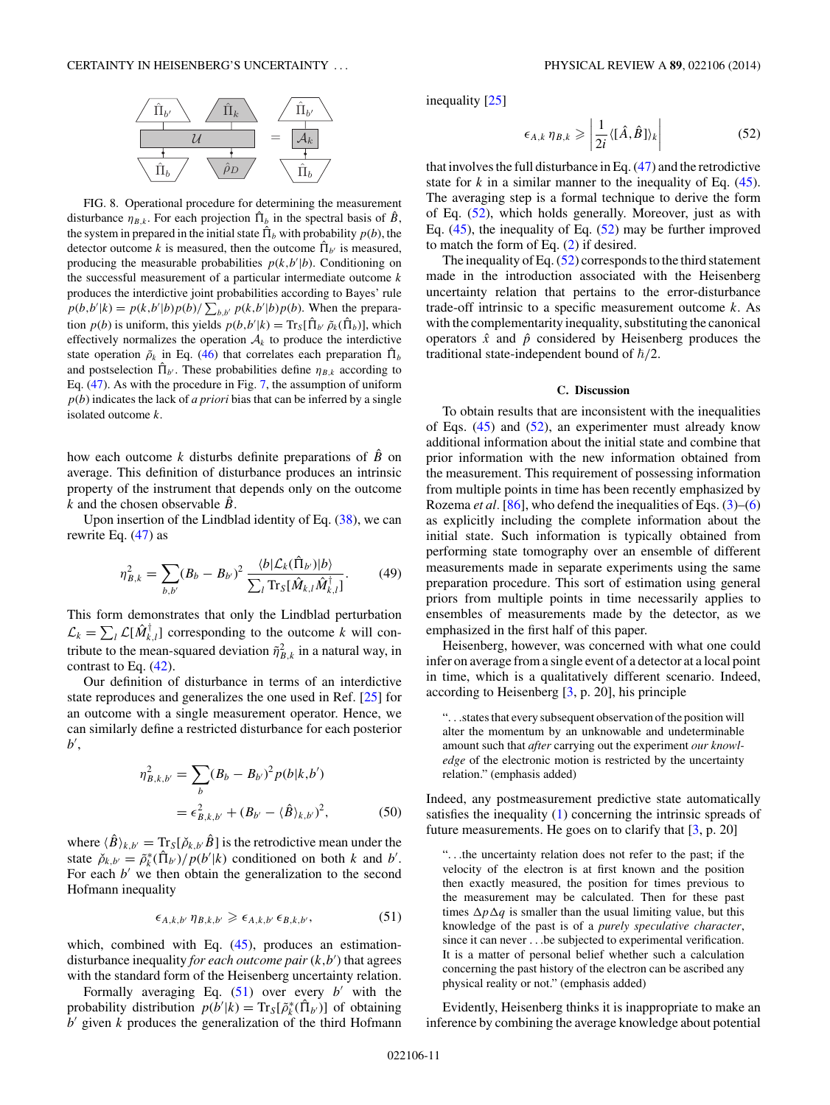<span id="page-10-0"></span>

FIG. 8. Operational procedure for determining the measurement disturbance  $\eta_{B,k}$ . For each projection  $\hat{\Pi}_b$  in the spectral basis of  $\hat{B}$ , the system in prepared in the initial state  $\hat{\Pi}_b$  with probability  $p(b)$ , the detector outcome *k* is measured, then the outcome  $\hat{\Pi}_{b'}$  is measured, producing the measurable probabilities  $p(k, b'|b)$ . Conditioning on the successful measurement of a particular intermediate outcome *k* produces the interdictive joint probabilities according to Bayes' rule  $p(b,b'|k) = p(k,b'|b)p(b)/\sum_{b,b'} p(k,b'|b)p(b)$ . When the preparation  $p(b)$  is uniform, this yields  $p(b,b'|k) = Tr_S[\hat{\Pi}_{b'} \tilde{\rho}_k(\hat{\Pi}_b)]$ , which effectively normalizes the operation  $A_k$  to produce the interdictive state operation  $\tilde{\rho}_k$  in Eq. [\(46\)](#page-9-0) that correlates each preparation  $\hat{\Pi}_b$ and postselection  $\hat{\Pi}_{b'}$ . These probabilities define  $\eta_{B,k}$  according to Eq. [\(47\)](#page-9-0). As with the procedure in Fig. [7,](#page-9-0) the assumption of uniform *p*(*b*) indicates the lack of *a priori* bias that can be inferred by a single isolated outcome *k*.

how each outcome *k* disturbs definite preparations of  $\hat{B}$  on average. This definition of disturbance produces an intrinsic property of the instrument that depends only on the outcome *k* and the chosen observable  $\hat{B}$ .

Upon insertion of the Lindblad identity of Eq. [\(38\)](#page-8-0), we can rewrite Eq. [\(47\)](#page-9-0) as

$$
\eta_{B,k}^2 = \sum_{b,b'} (B_b - B_{b'})^2 \frac{\langle b | \mathcal{L}_k(\hat{\Pi}_{b'}) | b \rangle}{\sum_l \text{Tr}_S[\hat{M}_{k,l} \hat{M}_{k,l}^\dagger]}.
$$
(49)

This form demonstrates that only the Lindblad perturbation  $\mathcal{L}_k = \sum_l \mathcal{L}[\hat{M}_{k,l}^{\dagger}]$  corresponding to the outcome *k* will contribute to the mean-squared deviation  $\tilde{\eta}_{B,k}^2$  in a natural way, in contrast to Eq. [\(42\)](#page-8-0).

Our definition of disturbance in terms of an interdictive state reproduces and generalizes the one used in Ref. [\[25\]](#page-12-0) for an outcome with a single measurement operator. Hence, we can similarly define a restricted disturbance for each posterior *b* ,

$$
\eta_{B,k,b'}^2 = \sum_b (B_b - B_{b'})^2 p(b|k,b')
$$
  
=  $\epsilon_{B,k,b'}^2 + (B_{b'} - \langle \hat{B} \rangle_{k,b'})^2$ , (50)

where  $\langle \hat{B} \rangle_{k,b'} = \text{Tr}_{S}[\check{\rho}_{k,b'}\hat{B}]$  is the retrodictive mean under the state  $\tilde{\rho}_{k,b'} = \tilde{\rho}_k^*(\hat{\Pi}_{b'})/p(b'|k)$  conditioned on both *k* and *b'*. For each  $b'$  we then obtain the generalization to the second Hofmann inequality

$$
\epsilon_{A,k,b'} \eta_{B,k,b'} \geq \epsilon_{A,k,b'} \epsilon_{B,k,b'}, \tag{51}
$$

which, combined with Eq. [\(45\)](#page-9-0), produces an estimationdisturbance inequality *for each outcome pair* (*k,b* ) that agrees with the standard form of the Heisenberg uncertainty relation.

Formally averaging Eq.  $(51)$  over every *b'* with the probability distribution  $p(b'|k) = Tr_S[\tilde{\rho}_k^*(\hat{\Pi}_{b'})]$  of obtaining *b* given *k* produces the generalization of the third Hofmann

inequality [\[25\]](#page-12-0)

$$
\epsilon_{A,k} \eta_{B,k} \geqslant \left| \frac{1}{2i} \langle [\hat{A}, \hat{B}] \rangle_k \right| \tag{52}
$$

that involves the full disturbance in Eq. [\(47\)](#page-9-0) and the retrodictive state for  $k$  in a similar manner to the inequality of Eq.  $(45)$ . The averaging step is a formal technique to derive the form of Eq. (52), which holds generally. Moreover, just as with Eq.  $(45)$ , the inequality of Eq.  $(52)$  may be further improved to match the form of Eq. [\(2\)](#page-0-0) if desired.

The inequality of Eq.  $(52)$  corresponds to the third statement made in the introduction associated with the Heisenberg uncertainty relation that pertains to the error-disturbance trade-off intrinsic to a specific measurement outcome *k*. As with the complementarity inequality, substituting the canonical operators  $\hat{x}$  and  $\hat{p}$  considered by Heisenberg produces the traditional state-independent bound of  $\hbar/2$ .

#### **C. Discussion**

To obtain results that are inconsistent with the inequalities of Eqs. [\(45\)](#page-9-0) and (52), an experimenter must already know additional information about the initial state and combine that prior information with the new information obtained from the measurement. This requirement of possessing information from multiple points in time has been recently emphasized by Rozema *et al.* [\[86\]](#page-13-0), who defend the inequalities of Eqs. [\(3\)](#page-1-0)–[\(6\)](#page-1-0) as explicitly including the complete information about the initial state. Such information is typically obtained from performing state tomography over an ensemble of different measurements made in separate experiments using the same preparation procedure. This sort of estimation using general priors from multiple points in time necessarily applies to ensembles of measurements made by the detector, as we emphasized in the first half of this paper.

Heisenberg, however, was concerned with what one could infer on average from a single event of a detector at a local point in time, which is a qualitatively different scenario. Indeed, according to Heisenberg [\[3,](#page-11-0) p. 20], his principle

"*...*states that every subsequent observation of the position will alter the momentum by an unknowable and undeterminable amount such that *after* carrying out the experiment *our knowledge* of the electronic motion is restricted by the uncertainty relation." (emphasis added)

Indeed, any postmeasurement predictive state automatically satisfies the inequality [\(1\)](#page-0-0) concerning the intrinsic spreads of future measurements. He goes on to clarify that  $[3, p. 20]$  $[3, p. 20]$ 

"*...*the uncertainty relation does not refer to the past; if the velocity of the electron is at first known and the position then exactly measured, the position for times previous to the measurement may be calculated. Then for these past times  $\Delta p \Delta q$  is smaller than the usual limiting value, but this knowledge of the past is of a *purely speculative character*, since it can never *...*be subjected to experimental verification. It is a matter of personal belief whether such a calculation concerning the past history of the electron can be ascribed any physical reality or not." (emphasis added)

Evidently, Heisenberg thinks it is inappropriate to make an inference by combining the average knowledge about potential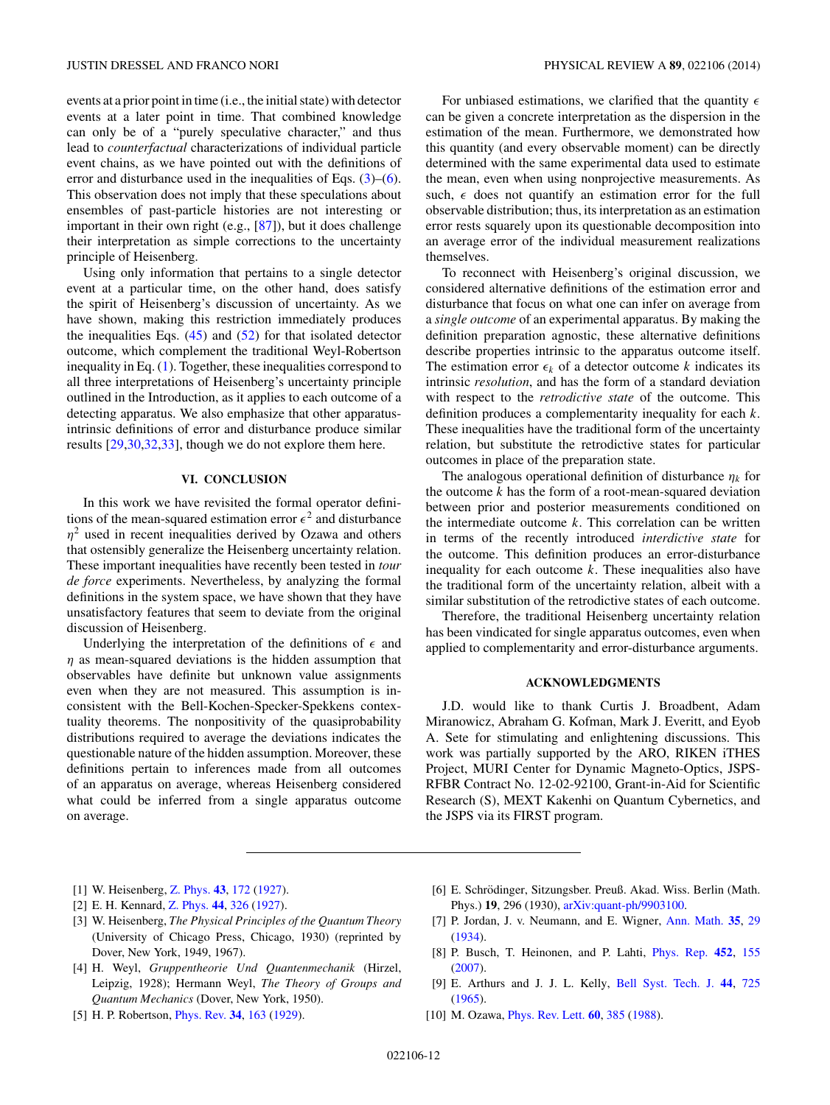<span id="page-11-0"></span>events at a prior point in time (i.e., the initial state) with detector events at a later point in time. That combined knowledge can only be of a "purely speculative character," and thus lead to *counterfactual* characterizations of individual particle event chains, as we have pointed out with the definitions of error and disturbance used in the inequalities of Eqs.  $(3)$ – $(6)$ . This observation does not imply that these speculations about ensembles of past-particle histories are not interesting or important in their own right (e.g., [\[87\]](#page-13-0)), but it does challenge their interpretation as simple corrections to the uncertainty principle of Heisenberg.

Using only information that pertains to a single detector event at a particular time, on the other hand, does satisfy the spirit of Heisenberg's discussion of uncertainty. As we have shown, making this restriction immediately produces the inequalities Eqs.  $(45)$  and  $(52)$  for that isolated detector outcome, which complement the traditional Weyl-Robertson inequality in Eq. [\(1\)](#page-0-0). Together, these inequalities correspond to all three interpretations of Heisenberg's uncertainty principle outlined in the Introduction, as it applies to each outcome of a detecting apparatus. We also emphasize that other apparatusintrinsic definitions of error and disturbance produce similar results [\[29,30,32,33\]](#page-12-0), though we do not explore them here.

## **VI. CONCLUSION**

In this work we have revisited the formal operator definitions of the mean-squared estimation error  $\epsilon^2$  and disturbance  $\eta^2$  used in recent inequalities derived by Ozawa and others that ostensibly generalize the Heisenberg uncertainty relation. These important inequalities have recently been tested in *tour de force* experiments. Nevertheless, by analyzing the formal definitions in the system space, we have shown that they have unsatisfactory features that seem to deviate from the original discussion of Heisenberg.

Underlying the interpretation of the definitions of  $\epsilon$  and *η* as mean-squared deviations is the hidden assumption that observables have definite but unknown value assignments even when they are not measured. This assumption is inconsistent with the Bell-Kochen-Specker-Spekkens contextuality theorems. The nonpositivity of the quasiprobability distributions required to average the deviations indicates the questionable nature of the hidden assumption. Moreover, these definitions pertain to inferences made from all outcomes of an apparatus on average, whereas Heisenberg considered what could be inferred from a single apparatus outcome on average.

For unbiased estimations, we clarified that the quantity  $\epsilon$ can be given a concrete interpretation as the dispersion in the estimation of the mean. Furthermore, we demonstrated how this quantity (and every observable moment) can be directly determined with the same experimental data used to estimate the mean, even when using nonprojective measurements. As such,  $\epsilon$  does not quantify an estimation error for the full observable distribution; thus, its interpretation as an estimation error rests squarely upon its questionable decomposition into an average error of the individual measurement realizations themselves.

To reconnect with Heisenberg's original discussion, we considered alternative definitions of the estimation error and disturbance that focus on what one can infer on average from a *single outcome* of an experimental apparatus. By making the definition preparation agnostic, these alternative definitions describe properties intrinsic to the apparatus outcome itself. The estimation error  $\epsilon_k$  of a detector outcome *k* indicates its intrinsic *resolution*, and has the form of a standard deviation with respect to the *retrodictive state* of the outcome. This definition produces a complementarity inequality for each *k*. These inequalities have the traditional form of the uncertainty relation, but substitute the retrodictive states for particular outcomes in place of the preparation state.

The analogous operational definition of disturbance  $\eta_k$  for the outcome *k* has the form of a root-mean-squared deviation between prior and posterior measurements conditioned on the intermediate outcome *k*. This correlation can be written in terms of the recently introduced *interdictive state* for the outcome. This definition produces an error-disturbance inequality for each outcome *k*. These inequalities also have the traditional form of the uncertainty relation, albeit with a similar substitution of the retrodictive states of each outcome.

Therefore, the traditional Heisenberg uncertainty relation has been vindicated for single apparatus outcomes, even when applied to complementarity and error-disturbance arguments.

#### **ACKNOWLEDGMENTS**

J.D. would like to thank Curtis J. Broadbent, Adam Miranowicz, Abraham G. Kofman, Mark J. Everitt, and Eyob A. Sete for stimulating and enlightening discussions. This work was partially supported by the ARO, RIKEN iTHES Project, MURI Center for Dynamic Magneto-Optics, JSPS-RFBR Contract No. 12-02-92100, Grant-in-Aid for Scientific Research (S), MEXT Kakenhi on Quantum Cybernetics, and the JSPS via its FIRST program.

- [1] W. Heisenberg, [Z. Phys.](http://dx.doi.org/10.1007/BF01397280) **[43](http://dx.doi.org/10.1007/BF01397280)**, [172](http://dx.doi.org/10.1007/BF01397280) [\(1927\)](http://dx.doi.org/10.1007/BF01397280).
- [2] E. H. Kennard, [Z. Phys.](http://dx.doi.org/10.1007/BF01391200) **[44](http://dx.doi.org/10.1007/BF01391200)**, [326](http://dx.doi.org/10.1007/BF01391200) [\(1927\)](http://dx.doi.org/10.1007/BF01391200).
- [3] W. Heisenberg, *The Physical Principles of the Quantum Theory* (University of Chicago Press, Chicago, 1930) (reprinted by Dover, New York, 1949, 1967).
- [4] H. Weyl, *Gruppentheorie Und Quantenmechanik* (Hirzel, Leipzig, 1928); Hermann Weyl, *The Theory of Groups and Quantum Mechanics* (Dover, New York, 1950).
- [5] H. P. Robertson, [Phys. Rev.](http://dx.doi.org/10.1103/PhysRev.34.163) **[34](http://dx.doi.org/10.1103/PhysRev.34.163)**, [163](http://dx.doi.org/10.1103/PhysRev.34.163) [\(1929\)](http://dx.doi.org/10.1103/PhysRev.34.163).
- [6] E. Schrödinger, Sitzungsber. Preuß. Akad. Wiss. Berlin (Math. Phys.) **19**, 296 (1930), [arXiv:quant-ph/9903100.](http://arxiv.org/abs/arXiv:quant-ph/9903100)
- [7] P. Jordan, J. v. Neumann, and E. Wigner, [Ann. Math.](http://dx.doi.org/10.2307/1968117) **[35](http://dx.doi.org/10.2307/1968117)**, [29](http://dx.doi.org/10.2307/1968117) [\(1934\)](http://dx.doi.org/10.2307/1968117).
- [8] P. Busch, T. Heinonen, and P. Lahti, [Phys. Rep.](http://dx.doi.org/10.1016/j.physrep.2007.05.006) **[452](http://dx.doi.org/10.1016/j.physrep.2007.05.006)**, [155](http://dx.doi.org/10.1016/j.physrep.2007.05.006) [\(2007\)](http://dx.doi.org/10.1016/j.physrep.2007.05.006).
- [9] E. Arthurs and J. J. L. Kelly, [Bell Syst. Tech. J.](http://dx.doi.org/10.1002/j.1538-7305.1965.tb01684.x) **[44](http://dx.doi.org/10.1002/j.1538-7305.1965.tb01684.x)**, [725](http://dx.doi.org/10.1002/j.1538-7305.1965.tb01684.x) [\(1965\)](http://dx.doi.org/10.1002/j.1538-7305.1965.tb01684.x).
- [10] M. Ozawa, [Phys. Rev. Lett.](http://dx.doi.org/10.1103/PhysRevLett.60.385) **[60](http://dx.doi.org/10.1103/PhysRevLett.60.385)**, [385](http://dx.doi.org/10.1103/PhysRevLett.60.385) [\(1988\)](http://dx.doi.org/10.1103/PhysRevLett.60.385).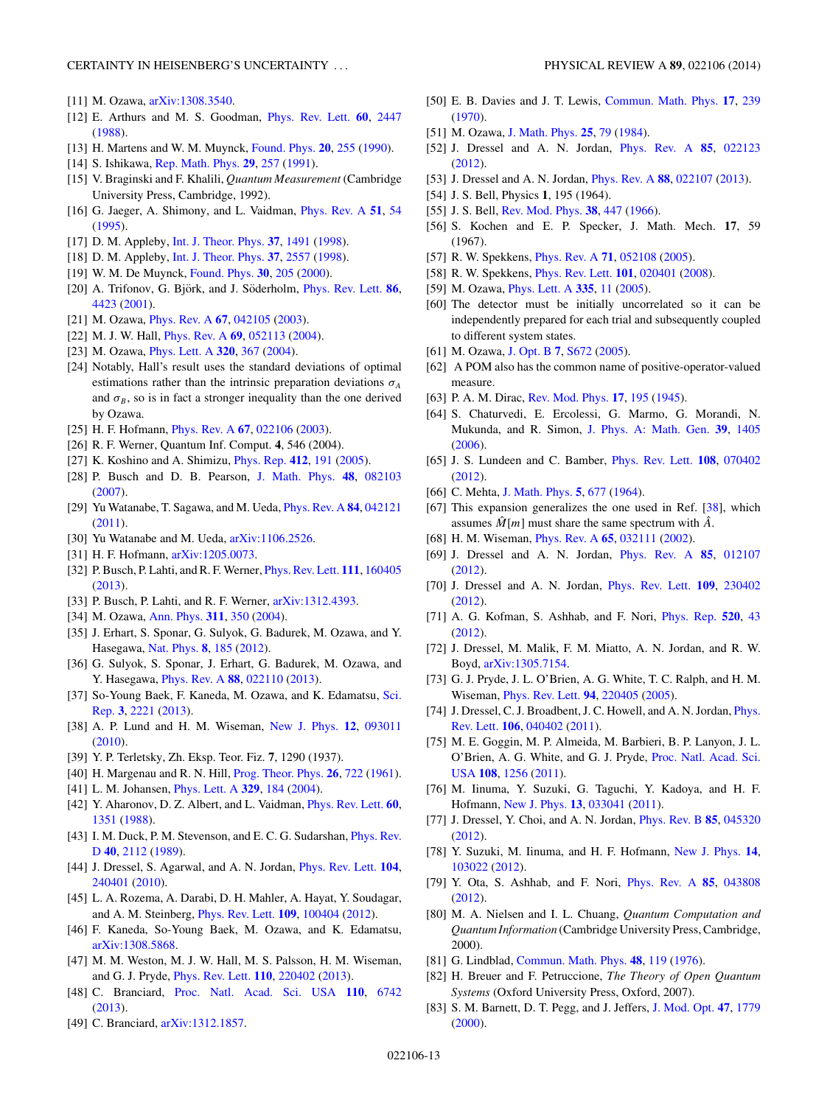## <span id="page-12-0"></span>CERTAINTY IN HEISENBERG'S UNCERTAINTY . . . PHYSICAL REVIEW A **89**, 022106 (2014)

- [11] M. Ozawa, [arXiv:1308.3540.](http://arxiv.org/abs/arXiv:1308.3540)
- [12] E. Arthurs and M. S. Goodman, [Phys. Rev. Lett.](http://dx.doi.org/10.1103/PhysRevLett.60.2447) **[60](http://dx.doi.org/10.1103/PhysRevLett.60.2447)**, [2447](http://dx.doi.org/10.1103/PhysRevLett.60.2447) [\(1988\)](http://dx.doi.org/10.1103/PhysRevLett.60.2447).
- [13] H. Martens and W. M. Muynck, [Found. Phys.](http://dx.doi.org/10.1007/BF00731693) **[20](http://dx.doi.org/10.1007/BF00731693)**, [255](http://dx.doi.org/10.1007/BF00731693) [\(1990\)](http://dx.doi.org/10.1007/BF00731693).
- [14] S. Ishikawa, [Rep. Math. Phys.](http://dx.doi.org/10.1016/0034-4877(91)90046-P) **[29](http://dx.doi.org/10.1016/0034-4877(91)90046-P)**, [257](http://dx.doi.org/10.1016/0034-4877(91)90046-P) [\(1991\)](http://dx.doi.org/10.1016/0034-4877(91)90046-P).
- [15] V. Braginski and F. Khalili, *Quantum Measurement* (Cambridge University Press, Cambridge, 1992).
- [16] G. Jaeger, A. Shimony, and L. Vaidman, [Phys. Rev. A](http://dx.doi.org/10.1103/PhysRevA.51.54) **[51](http://dx.doi.org/10.1103/PhysRevA.51.54)**, [54](http://dx.doi.org/10.1103/PhysRevA.51.54) [\(1995\)](http://dx.doi.org/10.1103/PhysRevA.51.54).
- [17] D. M. Appleby, [Int. J. Theor. Phys.](http://dx.doi.org/10.1023/A:1026659601439) **[37](http://dx.doi.org/10.1023/A:1026659601439)**, [1491](http://dx.doi.org/10.1023/A:1026659601439) [\(1998\)](http://dx.doi.org/10.1023/A:1026659601439).
- [18] D. M. Appleby, [Int. J. Theor. Phys.](http://dx.doi.org/10.1023/A:1026616419979) **[37](http://dx.doi.org/10.1023/A:1026616419979)**, [2557](http://dx.doi.org/10.1023/A:1026616419979) [\(1998\)](http://dx.doi.org/10.1023/A:1026616419979).
- [19] W. M. De Muynck, [Found. Phys.](http://dx.doi.org/10.1023/A:1003640932686) **[30](http://dx.doi.org/10.1023/A:1003640932686)**, [205](http://dx.doi.org/10.1023/A:1003640932686) [\(2000\)](http://dx.doi.org/10.1023/A:1003640932686).
- [20] A. Trifonov, G. Björk, and J. Söderholm, *[Phys. Rev. Lett.](http://dx.doi.org/10.1103/PhysRevLett.86.4423)* **[86](http://dx.doi.org/10.1103/PhysRevLett.86.4423)**, [4423](http://dx.doi.org/10.1103/PhysRevLett.86.4423) [\(2001\)](http://dx.doi.org/10.1103/PhysRevLett.86.4423).
- [21] M. Ozawa, [Phys. Rev. A](http://dx.doi.org/10.1103/PhysRevA.67.042105) **[67](http://dx.doi.org/10.1103/PhysRevA.67.042105)**, [042105](http://dx.doi.org/10.1103/PhysRevA.67.042105) [\(2003\)](http://dx.doi.org/10.1103/PhysRevA.67.042105).
- [22] M. J. W. Hall, [Phys. Rev. A](http://dx.doi.org/10.1103/PhysRevA.69.052113) **[69](http://dx.doi.org/10.1103/PhysRevA.69.052113)**, [052113](http://dx.doi.org/10.1103/PhysRevA.69.052113) [\(2004\)](http://dx.doi.org/10.1103/PhysRevA.69.052113).
- [23] M. Ozawa, [Phys. Lett. A](http://dx.doi.org/10.1016/j.physleta.2003.12.001) **[320](http://dx.doi.org/10.1016/j.physleta.2003.12.001)**, [367](http://dx.doi.org/10.1016/j.physleta.2003.12.001) [\(2004\)](http://dx.doi.org/10.1016/j.physleta.2003.12.001).
- [24] Notably, Hall's result uses the standard deviations of optimal estimations rather than the intrinsic preparation deviations  $\sigma_A$ and  $\sigma_B$ , so is in fact a stronger inequality than the one derived by Ozawa.
- [25] H. F. Hofmann, [Phys. Rev. A](http://dx.doi.org/10.1103/PhysRevA.67.022106) **[67](http://dx.doi.org/10.1103/PhysRevA.67.022106)**, [022106](http://dx.doi.org/10.1103/PhysRevA.67.022106) [\(2003\)](http://dx.doi.org/10.1103/PhysRevA.67.022106).
- [26] R. F. Werner, Quantum Inf. Comput. **4**, 546 (2004).
- [27] K. Koshino and A. Shimizu, [Phys. Rep.](http://dx.doi.org/10.1016/j.physrep.2005.03.001) **[412](http://dx.doi.org/10.1016/j.physrep.2005.03.001)**, [191](http://dx.doi.org/10.1016/j.physrep.2005.03.001) [\(2005\)](http://dx.doi.org/10.1016/j.physrep.2005.03.001).
- [28] P. Busch and D. B. Pearson, [J. Math. Phys.](http://dx.doi.org/10.1063/1.2759831) **[48](http://dx.doi.org/10.1063/1.2759831)**, [082103](http://dx.doi.org/10.1063/1.2759831) [\(2007\)](http://dx.doi.org/10.1063/1.2759831).
- [29] Yu Watanabe, T. Sagawa, and M. Ueda, [Phys. Rev. A](http://dx.doi.org/10.1103/PhysRevA.84.042121) **[84](http://dx.doi.org/10.1103/PhysRevA.84.042121)**, [042121](http://dx.doi.org/10.1103/PhysRevA.84.042121) [\(2011\)](http://dx.doi.org/10.1103/PhysRevA.84.042121).
- [30] Yu Watanabe and M. Ueda,  $arXiv:1106.2526$ .
- [31] H. F. Hofmann, [arXiv:1205.0073.](http://arxiv.org/abs/arXiv:1205.0073)
- [32] P. Busch, P. Lahti, and R. F. Werner, [Phys. Rev. Lett.](http://dx.doi.org/10.1103/PhysRevLett.111.160405) **[111](http://dx.doi.org/10.1103/PhysRevLett.111.160405)**, [160405](http://dx.doi.org/10.1103/PhysRevLett.111.160405) [\(2013\)](http://dx.doi.org/10.1103/PhysRevLett.111.160405).
- [33] P. Busch, P. Lahti, and R. F. Werner, [arXiv:1312.4393.](http://arxiv.org/abs/arXiv:1312.4393)
- [34] M. Ozawa, [Ann. Phys.](http://dx.doi.org/10.1016/j.aop.2003.12.012) **[311](http://dx.doi.org/10.1016/j.aop.2003.12.012)**, [350](http://dx.doi.org/10.1016/j.aop.2003.12.012) [\(2004\)](http://dx.doi.org/10.1016/j.aop.2003.12.012).
- [35] J. Erhart, S. Sponar, G. Sulyok, G. Badurek, M. Ozawa, and Y. Hasegawa, [Nat. Phys.](http://dx.doi.org/10.1038/nphys2194) **[8](http://dx.doi.org/10.1038/nphys2194)**, [185](http://dx.doi.org/10.1038/nphys2194) [\(2012\)](http://dx.doi.org/10.1038/nphys2194).
- [36] G. Sulyok, S. Sponar, J. Erhart, G. Badurek, M. Ozawa, and Y. Hasegawa, [Phys. Rev. A](http://dx.doi.org/10.1103/PhysRevA.88.022110) **[88](http://dx.doi.org/10.1103/PhysRevA.88.022110)**, [022110](http://dx.doi.org/10.1103/PhysRevA.88.022110) [\(2013\)](http://dx.doi.org/10.1103/PhysRevA.88.022110).
- [37] [So-Young Baek, F. Kaneda, M. Ozawa, and K. Edamatsu,](http://dx.doi.org/10.1038/srep02221) Sci. Rep. **[3](http://dx.doi.org/10.1038/srep02221)**, [2221](http://dx.doi.org/10.1038/srep02221) [\(2013\)](http://dx.doi.org/10.1038/srep02221).
- [38] A. P. Lund and H. M. Wiseman, [New J. Phys.](http://dx.doi.org/10.1088/1367-2630/12/9/093011) **[12](http://dx.doi.org/10.1088/1367-2630/12/9/093011)**, [093011](http://dx.doi.org/10.1088/1367-2630/12/9/093011) [\(2010\)](http://dx.doi.org/10.1088/1367-2630/12/9/093011).
- [39] Y. P. Terletsky, Zh. Eksp. Teor. Fiz. **7**, 1290 (1937).
- [40] H. Margenau and R. N. Hill, [Prog. Theor. Phys.](http://dx.doi.org/10.1143/PTP.26.722) **[26](http://dx.doi.org/10.1143/PTP.26.722)**, [722](http://dx.doi.org/10.1143/PTP.26.722) [\(1961\)](http://dx.doi.org/10.1143/PTP.26.722).
- [41] L. M. Johansen, [Phys. Lett. A](http://dx.doi.org/10.1016/j.physleta.2004.07.003) **[329](http://dx.doi.org/10.1016/j.physleta.2004.07.003)**, [184](http://dx.doi.org/10.1016/j.physleta.2004.07.003) [\(2004\)](http://dx.doi.org/10.1016/j.physleta.2004.07.003).
- [42] Y. Aharonov, D. Z. Albert, and L. Vaidman, [Phys. Rev. Lett.](http://dx.doi.org/10.1103/PhysRevLett.60.1351) **[60](http://dx.doi.org/10.1103/PhysRevLett.60.1351)**, [1351](http://dx.doi.org/10.1103/PhysRevLett.60.1351) [\(1988\)](http://dx.doi.org/10.1103/PhysRevLett.60.1351).
- [43] [I. M. Duck, P. M. Stevenson, and E. C. G. Sudarshan,](http://dx.doi.org/10.1103/PhysRevD.40.2112) *Phys. Rev.* D **[40](http://dx.doi.org/10.1103/PhysRevD.40.2112)**, [2112](http://dx.doi.org/10.1103/PhysRevD.40.2112) [\(1989\)](http://dx.doi.org/10.1103/PhysRevD.40.2112).
- [44] J. Dressel, S. Agarwal, and A. N. Jordan, [Phys. Rev. Lett.](http://dx.doi.org/10.1103/PhysRevLett.104.240401) **[104](http://dx.doi.org/10.1103/PhysRevLett.104.240401)**, [240401](http://dx.doi.org/10.1103/PhysRevLett.104.240401) [\(2010\)](http://dx.doi.org/10.1103/PhysRevLett.104.240401).
- [45] L. A. Rozema, A. Darabi, D. H. Mahler, A. Hayat, Y. Soudagar, and A. M. Steinberg, [Phys. Rev. Lett.](http://dx.doi.org/10.1103/PhysRevLett.109.100404) **[109](http://dx.doi.org/10.1103/PhysRevLett.109.100404)**, [100404](http://dx.doi.org/10.1103/PhysRevLett.109.100404) [\(2012\)](http://dx.doi.org/10.1103/PhysRevLett.109.100404).
- [46] F. Kaneda, So-Young Baek, M. Ozawa, and K. Edamatsu, [arXiv:1308.5868.](http://arxiv.org/abs/arXiv:1308.5868)
- [47] M. M. Weston, M. J. W. Hall, M. S. Palsson, H. M. Wiseman, and G. J. Pryde, [Phys. Rev. Lett.](http://dx.doi.org/10.1103/PhysRevLett.110.220402) **[110](http://dx.doi.org/10.1103/PhysRevLett.110.220402)**, [220402](http://dx.doi.org/10.1103/PhysRevLett.110.220402) [\(2013\)](http://dx.doi.org/10.1103/PhysRevLett.110.220402).
- [48] C. Branciard, [Proc. Natl. Acad. Sci. USA](http://dx.doi.org/10.1073/pnas.1219331110) **[110](http://dx.doi.org/10.1073/pnas.1219331110)**, [6742](http://dx.doi.org/10.1073/pnas.1219331110) [\(2013\)](http://dx.doi.org/10.1073/pnas.1219331110).
- [49] C. Branciard, [arXiv:1312.1857.](http://arxiv.org/abs/arXiv:1312.1857)

- [50] E. B. Davies and J. T. Lewis, [Commun. Math. Phys.](http://dx.doi.org/10.1007/BF01647093) **[17](http://dx.doi.org/10.1007/BF01647093)**, [239](http://dx.doi.org/10.1007/BF01647093) [\(1970\)](http://dx.doi.org/10.1007/BF01647093).
- [51] M. Ozawa, [J. Math. Phys.](http://dx.doi.org/10.1063/1.526000) **[25](http://dx.doi.org/10.1063/1.526000)**, [79](http://dx.doi.org/10.1063/1.526000) [\(1984\)](http://dx.doi.org/10.1063/1.526000).
- [52] J. Dressel and A. N. Jordan, [Phys. Rev. A](http://dx.doi.org/10.1103/PhysRevA.85.022123) **[85](http://dx.doi.org/10.1103/PhysRevA.85.022123)**, [022123](http://dx.doi.org/10.1103/PhysRevA.85.022123) [\(2012\)](http://dx.doi.org/10.1103/PhysRevA.85.022123).
- [53] J. Dressel and A. N. Jordan, [Phys. Rev. A](http://dx.doi.org/10.1103/PhysRevA.88.022107) **[88](http://dx.doi.org/10.1103/PhysRevA.88.022107)**, [022107](http://dx.doi.org/10.1103/PhysRevA.88.022107) [\(2013\)](http://dx.doi.org/10.1103/PhysRevA.88.022107).
- [54] J. S. Bell, Physics **1**, 195 (1964).
- [55] J. S. Bell, [Rev. Mod. Phys.](http://dx.doi.org/10.1103/RevModPhys.38.447) **[38](http://dx.doi.org/10.1103/RevModPhys.38.447)**, [447](http://dx.doi.org/10.1103/RevModPhys.38.447) [\(1966\)](http://dx.doi.org/10.1103/RevModPhys.38.447).
- [56] S. Kochen and E. P. Specker, J. Math. Mech. **17**, 59 (1967).
- [57] R. W. Spekkens, [Phys. Rev. A](http://dx.doi.org/10.1103/PhysRevA.71.052108) **[71](http://dx.doi.org/10.1103/PhysRevA.71.052108)**, [052108](http://dx.doi.org/10.1103/PhysRevA.71.052108) [\(2005\)](http://dx.doi.org/10.1103/PhysRevA.71.052108).
- [58] R. W. Spekkens, [Phys. Rev. Lett.](http://dx.doi.org/10.1103/PhysRevLett.101.020401) **[101](http://dx.doi.org/10.1103/PhysRevLett.101.020401)**, [020401](http://dx.doi.org/10.1103/PhysRevLett.101.020401) [\(2008\)](http://dx.doi.org/10.1103/PhysRevLett.101.020401).
- [59] M. Ozawa, [Phys. Lett. A](http://dx.doi.org/10.1016/j.physleta.2004.12.003) **[335](http://dx.doi.org/10.1016/j.physleta.2004.12.003)**, [11](http://dx.doi.org/10.1016/j.physleta.2004.12.003) [\(2005\)](http://dx.doi.org/10.1016/j.physleta.2004.12.003).
- [60] The detector must be initially uncorrelated so it can be independently prepared for each trial and subsequently coupled to different system states.
- [61] M. Ozawa, [J. Opt. B](http://dx.doi.org/10.1088/1464-4266/7/12/033) **[7](http://dx.doi.org/10.1088/1464-4266/7/12/033)**, [S672](http://dx.doi.org/10.1088/1464-4266/7/12/033) [\(2005\)](http://dx.doi.org/10.1088/1464-4266/7/12/033).
- [62] A POM also has the common name of positive-operator-valued measure.
- [63] P. A. M. Dirac, [Rev. Mod. Phys.](http://dx.doi.org/10.1103/RevModPhys.17.195) **[17](http://dx.doi.org/10.1103/RevModPhys.17.195)**, [195](http://dx.doi.org/10.1103/RevModPhys.17.195) [\(1945\)](http://dx.doi.org/10.1103/RevModPhys.17.195).
- [64] S. Chaturvedi, E. Ercolessi, G. Marmo, G. Morandi, N. Mukunda, and R. Simon, [J. Phys. A: Math. Gen.](http://dx.doi.org/10.1088/0305-4470/39/6/014) **[39](http://dx.doi.org/10.1088/0305-4470/39/6/014)**, [1405](http://dx.doi.org/10.1088/0305-4470/39/6/014) [\(2006\)](http://dx.doi.org/10.1088/0305-4470/39/6/014).
- [65] J. S. Lundeen and C. Bamber, [Phys. Rev. Lett.](http://dx.doi.org/10.1103/PhysRevLett.108.070402) **[108](http://dx.doi.org/10.1103/PhysRevLett.108.070402)**, [070402](http://dx.doi.org/10.1103/PhysRevLett.108.070402) [\(2012\)](http://dx.doi.org/10.1103/PhysRevLett.108.070402).
- [66] C. Mehta, [J. Math. Phys.](http://dx.doi.org/10.1063/1.1704163) **[5](http://dx.doi.org/10.1063/1.1704163)**, [677](http://dx.doi.org/10.1063/1.1704163) [\(1964\)](http://dx.doi.org/10.1063/1.1704163).
- [67] This expansion generalizes the one used in Ref. [38], which assumes  $\hat{M}[m]$  must share the same spectrum with  $\hat{A}$ .
- [68] H. M. Wiseman, [Phys. Rev. A](http://dx.doi.org/10.1103/PhysRevA.65.032111) **[65](http://dx.doi.org/10.1103/PhysRevA.65.032111)**, [032111](http://dx.doi.org/10.1103/PhysRevA.65.032111) [\(2002\)](http://dx.doi.org/10.1103/PhysRevA.65.032111).
- [69] J. Dressel and A. N. Jordan, [Phys. Rev. A](http://dx.doi.org/10.1103/PhysRevA.85.012107) **[85](http://dx.doi.org/10.1103/PhysRevA.85.012107)**, [012107](http://dx.doi.org/10.1103/PhysRevA.85.012107) [\(2012\)](http://dx.doi.org/10.1103/PhysRevA.85.012107).
- [70] J. Dressel and A. N. Jordan, [Phys. Rev. Lett.](http://dx.doi.org/10.1103/PhysRevLett.109.230402) **[109](http://dx.doi.org/10.1103/PhysRevLett.109.230402)**, [230402](http://dx.doi.org/10.1103/PhysRevLett.109.230402) [\(2012\)](http://dx.doi.org/10.1103/PhysRevLett.109.230402).
- [71] A. G. Kofman, S. Ashhab, and F. Nori, [Phys. Rep.](http://dx.doi.org/10.1016/j.physrep.2012.07.001) **[520](http://dx.doi.org/10.1016/j.physrep.2012.07.001)**, [43](http://dx.doi.org/10.1016/j.physrep.2012.07.001) [\(2012\)](http://dx.doi.org/10.1016/j.physrep.2012.07.001).
- [72] J. Dressel, M. Malik, F. M. Miatto, A. N. Jordan, and R. W. Boyd, [arXiv:1305.7154.](http://arxiv.org/abs/arXiv:1305.7154)
- [73] G. J. Pryde, J. L. O'Brien, A. G. White, T. C. Ralph, and H. M. Wiseman, [Phys. Rev. Lett.](http://dx.doi.org/10.1103/PhysRevLett.94.220405) **[94](http://dx.doi.org/10.1103/PhysRevLett.94.220405)**, [220405](http://dx.doi.org/10.1103/PhysRevLett.94.220405) [\(2005\)](http://dx.doi.org/10.1103/PhysRevLett.94.220405).
- [74] [J. Dressel, C. J. Broadbent, J. C. Howell, and A. N. Jordan,](http://dx.doi.org/10.1103/PhysRevLett.106.040402) *Phys.* Rev. Lett. **[106](http://dx.doi.org/10.1103/PhysRevLett.106.040402)**, [040402](http://dx.doi.org/10.1103/PhysRevLett.106.040402) [\(2011\)](http://dx.doi.org/10.1103/PhysRevLett.106.040402).
- [75] M. E. Goggin, M. P. Almeida, M. Barbieri, B. P. Lanyon, J. L. [O'Brien, A. G. White, and G. J. Pryde,](http://dx.doi.org/10.1073/pnas.1005774108) Proc. Natl. Acad. Sci. USA **[108](http://dx.doi.org/10.1073/pnas.1005774108)**, [1256](http://dx.doi.org/10.1073/pnas.1005774108) [\(2011\)](http://dx.doi.org/10.1073/pnas.1005774108).
- [76] M. Iinuma, Y. Suzuki, G. Taguchi, Y. Kadoya, and H. F. Hofmann, [New J. Phys.](http://dx.doi.org/10.1088/1367-2630/13/3/033041) **[13](http://dx.doi.org/10.1088/1367-2630/13/3/033041)**, [033041](http://dx.doi.org/10.1088/1367-2630/13/3/033041) [\(2011\)](http://dx.doi.org/10.1088/1367-2630/13/3/033041).
- [77] J. Dressel, Y. Choi, and A. N. Jordan, [Phys. Rev. B](http://dx.doi.org/10.1103/PhysRevB.85.045320) **[85](http://dx.doi.org/10.1103/PhysRevB.85.045320)**, [045320](http://dx.doi.org/10.1103/PhysRevB.85.045320) [\(2012\)](http://dx.doi.org/10.1103/PhysRevB.85.045320).
- [78] Y. Suzuki, M. Iinuma, and H. F. Hofmann, [New J. Phys.](http://dx.doi.org/10.1088/1367-2630/14/10/103022) **[14](http://dx.doi.org/10.1088/1367-2630/14/10/103022)**, [103022](http://dx.doi.org/10.1088/1367-2630/14/10/103022) [\(2012\)](http://dx.doi.org/10.1088/1367-2630/14/10/103022).
- [79] Y. Ota, S. Ashhab, and F. Nori, [Phys. Rev. A](http://dx.doi.org/10.1103/PhysRevA.85.043808) **[85](http://dx.doi.org/10.1103/PhysRevA.85.043808)**, [043808](http://dx.doi.org/10.1103/PhysRevA.85.043808) [\(2012\)](http://dx.doi.org/10.1103/PhysRevA.85.043808).
- [80] M. A. Nielsen and I. L. Chuang, *Quantum Computation and Quantum Information* (Cambridge University Press, Cambridge, 2000).
- [81] G. Lindblad, [Commun. Math. Phys.](http://dx.doi.org/10.1007/BF01608499) **[48](http://dx.doi.org/10.1007/BF01608499)**, [119](http://dx.doi.org/10.1007/BF01608499) [\(1976\)](http://dx.doi.org/10.1007/BF01608499).
- [82] H. Breuer and F. Petruccione, *The Theory of Open Quantum Systems* (Oxford University Press, Oxford, 2007).
- [83] S. M. Barnett, D. T. Pegg, and J. Jeffers, [J. Mod. Opt.](http://dx.doi.org/10.1080/09500340008232431) **[47](http://dx.doi.org/10.1080/09500340008232431)**, [1779](http://dx.doi.org/10.1080/09500340008232431) [\(2000\)](http://dx.doi.org/10.1080/09500340008232431).